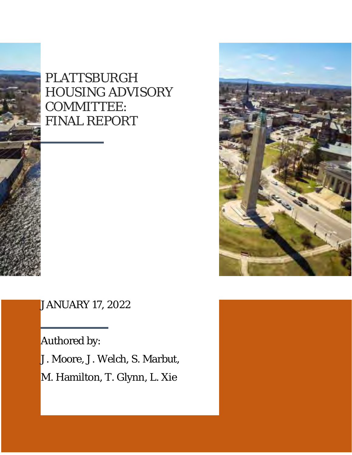



JANUARY 17, 2022

Authored by: J. Moore, J. Welch, S. Marbut, M. Hamilton, T. Glynn, L. Xie

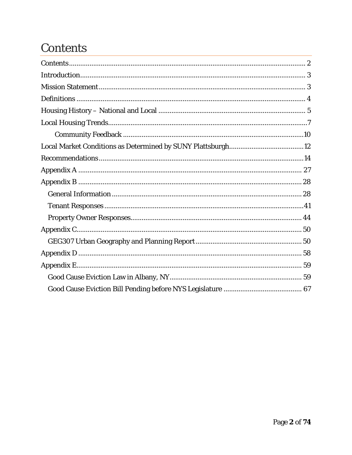# <span id="page-1-0"></span>**Contents**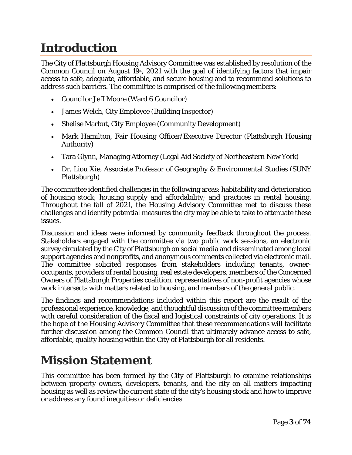# <span id="page-2-0"></span>**Introduction**

The City of Plattsburgh Housing Advisory Committee was established by resolution of the Common Council on August  $19$ <sup>th</sup>, 2021 with the goal of identifying factors that impair access to safe, adequate, affordable, and secure housing and to recommend solutions to address such barriers. The committee is comprised of the following members:

- Councilor Jeff Moore (Ward 6 Councilor)
- James Welch, City Employee (Building Inspector)
- Shelise Marbut, City Employee (Community Development)
- Mark Hamilton, Fair Housing Officer/Executive Director (Plattsburgh Housing Authority)
- Tara Glynn, Managing Attorney (Legal Aid Society of Northeastern New York)
- Dr. Liou Xie, Associate Professor of Geography & Environmental Studies (SUNY Plattsburgh)

The committee identified challenges in the following areas: habitability and deterioration of housing stock; housing supply and affordability; and practices in rental housing. Throughout the fall of 2021, the Housing Advisory Committee met to discuss these challenges and identify potential measures the city may be able to take to attenuate these issues.

Discussion and ideas were informed by community feedback throughout the process. Stakeholders engaged with the committee via two public work sessions, an electronic survey circulated by the City of Plattsburgh on social media and disseminated among local support agencies and nonprofits, and anonymous comments collected via electronic mail. The committee solicited responses from stakeholders including tenants, owneroccupants, providers of rental housing, real estate developers, members of the Concerned Owners of Plattsburgh Properties coalition, representatives of non-profit agencies whose work intersects with matters related to housing, and members of the general public.

The findings and recommendations included within this report are the result of the professional experience, knowledge, and thoughtful discussion of the committee members with careful consideration of the fiscal and logistical constraints of city operations. It is the hope of the Housing Advisory Committee that these recommendations will facilitate further discussion among the Common Council that ultimately advance access to safe, affordable, quality housing within the City of Plattsburgh for all residents.

# <span id="page-2-1"></span>**Mission Statement**

This committee has been formed by the City of Plattsburgh to examine relationships between property owners, developers, tenants, and the city on all matters impacting housing as well as review the current state of the city's housing stock and how to improve or address any found inequities or deficiencies.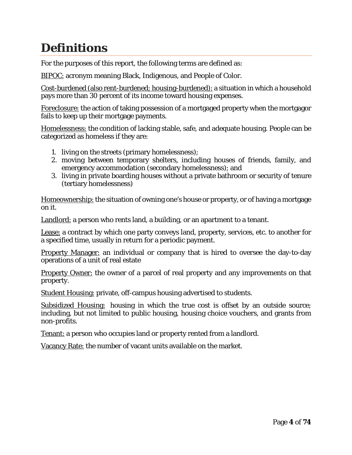# <span id="page-3-0"></span>**Definitions**

For the purposes of this report, the following terms are defined as:

BIPOC: acronym meaning Black, Indigenous, and People of Color.

Cost-burdened (also rent-burdened; housing-burdened): a situation in which a household pays more than 30 percent of its income toward housing expenses.

Foreclosure: the action of taking possession of a mortgaged property when the mortgagor fails to keep up their mortgage payments.

Homelessness: the condition of lacking stable, safe, and adequate housing. People can be categorized as homeless if they are:

- 1. living on the streets (primary homelessness);
- 2. moving between temporary shelters, including houses of friends, family, and emergency accommodation (secondary homelessness); and
- 3. living in private boarding houses without a private bathroom or security of tenure (tertiary homelessness)

Homeownership: the situation of owning one's house or property, or of having a mortgage on it.

Landlord: a person who rents land, a building, or an apartment to a tenant.

Lease: a contract by which one party conveys land, property, services, etc. to another for a specified time, usually in return for a periodic payment.

Property Manager: an individual or company that is hired to oversee the day-to-day operations of a unit of real estate

**Property Owner:** the owner of a parcel of real property and any improvements on that property.

Student Housing: private, off-campus housing advertised to students.

Subsidized Housing: housing in which the true cost is offset by an outside source; including, but not limited to public housing, housing choice vouchers, and grants from non-profits.

Tenant: a person who occupies land or property rented from a landlord.

Vacancy Rate: the number of vacant units available on the market.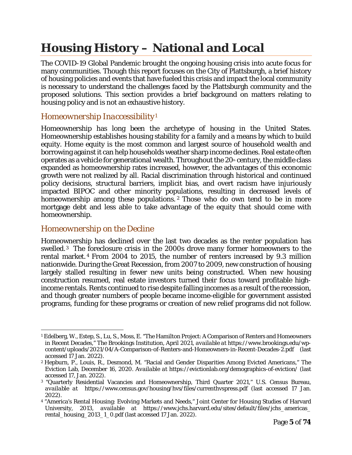# <span id="page-4-0"></span>**Housing History – National and Local**

The COVID-19 Global Pandemic brought the ongoing housing crisis into acute focus for many communities. Though this report focuses on the City of Plattsburgh, a brief history of housing policies and events that have fueled this crisis and impact the local community is necessary to understand the challenges faced by the Plattsburgh community and the proposed solutions. This section provides a brief background on matters relating to housing policy and is not an exhaustive history.

### *Homeownership Inaccessibility[1](#page-4-1)*

Homeownership has long been the archetype of housing in the United States. Homeownership establishes housing stability for a family and a means by which to build equity. Home equity is the most common and largest source of household wealth and borrowing against it can help households weather sharp income declines. Real estate often operates as a vehicle for generational wealth. Throughout the  $20<sup>th</sup>$  century, the middle class expanded as homeownership rates increased, however, the advantages of this economic growth were not realized by all. Racial discrimination through historical and continued policy decisions, structural barriers, implicit bias, and overt racism have injuriously impacted BIPOC and other minority populations, resulting in decreased levels of homeownership among these populations.<sup>[2](#page-4-2)</sup> Those who do own tend to be in more mortgage debt and less able to take advantage of the equity that should come with homeownership.

#### *Homeownership on the Decline*

Homeownership has declined over the last two decades as the renter population has swelled.[3](#page-4-3) The foreclosure crisis in the 2000s drove many former homeowners to the rental market. [4](#page-4-4) From 2004 to 2015, the number of renters increased by 9.3 million nationwide. During the Great Recession, from 2007 to 2009, new construction of housing largely stalled resulting in fewer new units being constructed. When new housing construction resumed, real estate investors turned their focus toward profitable highincome rentals. Rents continued to rise despite falling incomes as a result of the recession, and though greater numbers of people became income-eligible for government assisted programs, funding for these programs or creation of new relief programs did not follow.

<span id="page-4-1"></span> $\overline{a}$ <sup>1</sup> Edelberg, W., Estep, S., Lu, S., Moss, E. "The Hamilton Project: A Comparison of Renters and Homeowners in Recent Decades," The Brookings Institution, April 2021, *available at* https://www.brookings.edu/wpcontent/uploads/2021/04/A-Comparison-of-Renters-and-Homeowners-in-Recent-Decades-2.pdf (last accessed 17 Jan. 2022).

<span id="page-4-2"></span><sup>2</sup> Hepburn, P., Louis, R., Desmond, M. "Racial and Gender Disparities Among Evicted Americans," The Eviction Lab, December 16, 2020. *Available at* https://evictionlab.org/demographics-of-eviction/ (last accessed 17, Jan. 2022).

<span id="page-4-3"></span><sup>3</sup> "Quarterly Residential Vacancies and Homeownership, Third Quarter 2021," U.S. Census Bureau, *available at* https://www.census.gov/housing/hvs/files/currenthvspress.pdf (last accessed 17 Jan. 2022).

<span id="page-4-4"></span><sup>4</sup> "America's Rental Housing: Evolving Markets and Needs," Joint Center for Housing Studies of Harvard University, 2013, *available at* https://www.jchs.harvard.edu/sites/default/files/jchs\_americas\_ rental\_housing\_2013\_1\_0.pdf (last accessed 17 Jan. 2022).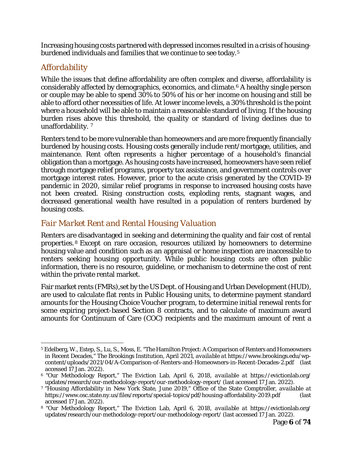Increasing housing costs partnered with depressed incomes resulted in a crisis of housing-burdened individuals and families that we continue to see today.<sup>[5](#page-5-0)</sup>

### *Affordability*

While the issues that define affordability are often complex and diverse, affordability is considerably affected by demographics, economics, and climate.[6](#page-5-1) A healthy single person or couple may be able to spend 30% to 50% of his or her income on housing and still be able to afford other necessities of life. At lower income levels, a 30% threshold is the point where a household will be able to maintain a reasonable standard of living. If the housing burden rises above this threshold, the quality or standard of living declines due to unaffordability. [7](#page-5-2)

Renters tend to be more vulnerable than homeowners and are more frequently financially burdened by housing costs. Housing costs generally include rent/mortgage, utilities, and maintenance. Rent often represents a higher percentage of a household's financial obligation than a mortgage. As housing costs have increased, homeowners have seen relief through mortgage relief programs, property tax assistance, and government controls over mortgage interest rates. However, prior to the acute crisis generated by the COVID-19 pandemic in 2020, similar relief programs in response to increased housing costs have not been created. Rising construction costs, exploding rents, stagnant wages, and decreased generational wealth have resulted in a population of renters burdened by housing costs.

#### *Fair Market Rent and Rental Housing Valuation*

Renters are disadvantaged in seeking and determining the quality and fair cost of rental properties. [8](#page-5-3) Except on rare occasion, resources utilized by homeowners to determine housing value and condition such as an appraisal or home inspection are inaccessible to renters seeking housing opportunity. While public housing costs are often public information, there is no resource, guideline, or mechanism to determine the cost of rent within the private rental market.

Fair market rents (FMRs),set by the US Dept. of Housing and Urban Development (HUD), are used to calculate flat rents in Public Housing units, to determine payment standard amounts for the Housing Choice Voucher program, to determine initial renewal rents for some expiring project-based Section 8 contracts, and to calculate of maximum award amounts for Continuum of Care (COC) recipients and the maximum amount of rent a

<span id="page-5-0"></span> $\overline{a}$ <sup>5</sup> Edelberg, W., Estep, S., Lu, S., Moss, E. "The Hamilton Project: A Comparison of Renters and Homeowners in Recent Decades," The Brookings Institution, April 2021, *available at* https://www.brookings.edu/wpcontent/uploads/2021/04/A-Comparison-of-Renters-and-Homeowners-in-Recent-Decades-2.pdf (last accessed 17 Jan. 2022).

<span id="page-5-1"></span><sup>6</sup> "Our Methodology Report," The Eviction Lab, April 6, 2018, *available at* https://evictionlab.org/ updates/research/our-methodology-report/our-methodology-report/ (last accessed 17 Jan. 2022).

<span id="page-5-2"></span><sup>7</sup> "Housing Affordability in New York State, June 2019," Office of the State Comptroller, *available at*  https://www.osc.state.ny.us/files/reports/special-topics/pdf/housing-affordability-2019.pdf (last accessed 17 Jan. 2022).

<span id="page-5-3"></span><sup>8</sup> "Our Methodology Report," The Eviction Lab, April 6, 2018, *available at* https://evictionlab.org/ updates/research/our-methodology-report/our-methodology-report/ (last accessed 17 Jan. 2022).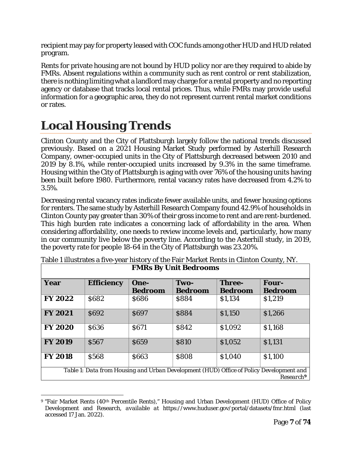recipient may pay for property leased with COC funds among other HUD and HUD related program.

Rents for private housing are not bound by HUD policy nor are they required to abide by FMRs. Absent regulations within a community such as rent control or rent stabilization, there is nothing limiting what a landlord may charge for a rental property and no reporting agency or database that tracks local rental prices. Thus, while FMRs may provide useful information for a geographic area, they do not represent current rental market conditions or rates.

# <span id="page-6-0"></span>**Local Housing Trends**

Clinton County and the City of Plattsburgh largely follow the national trends discussed previously. Based on a 2021 Housing Market Study performed by Asterhill Research Company, owner-occupied units in the City of Plattsburgh decreased between 2010 and 2019 by 8.1%, while renter-occupied units increased by 9.3% in the same timeframe. Housing within the City of Plattsburgh is aging with over 76% of the housing units having been built before 1980. Furthermore, rental vacancy rates have decreased from 4.2% to 3.5%.

Decreasing rental vacancy rates indicate fewer available units, and fewer housing options for renters. The same study by Asterhill Research Company found 42.9% of households in Clinton County pay greater than 30% of their gross income to rent and are rent-burdened. This high burden rate indicates a concerning lack of affordability in the area. When considering affordability, one needs to review income levels and, particularly, how many in our community live below the poverty line. According to the Asterhill study, in 2019, the poverty rate for people 18-64 in the City of Plattsburgh was 23.20%.

| <b>FMRs By Unit Bedrooms</b>                                                                                     |                   |                        |                        |                                 |                         |
|------------------------------------------------------------------------------------------------------------------|-------------------|------------------------|------------------------|---------------------------------|-------------------------|
| Year                                                                                                             | <b>Efficiency</b> | One-<br><b>Bedroom</b> | Two-<br><b>Bedroom</b> | <b>Three-</b><br><b>Bedroom</b> | Four-<br><b>Bedroom</b> |
| <b>FY 2022</b>                                                                                                   | <b>S682</b>       | \$686                  | \$884                  | \$1,134                         | \$1,219                 |
| <b>FY 2021</b>                                                                                                   | <b>S692</b>       | \$697                  | \$884                  | \$1,150                         | \$1,266                 |
| <b>FY 2020</b>                                                                                                   | <b>S636</b>       | <b>S671</b>            | \$842                  | \$1,092                         | \$1,168                 |
| <b>FY 2019</b>                                                                                                   | \$567             | <b>S659</b>            | <b>S810</b>            | \$1,052                         | \$1,131                 |
| <b>FY 2018</b>                                                                                                   | \$568             | \$663                  | \$808                  | \$1,040                         | \$1,100                 |
| Table 1: Data from Housing and Urban Development (HUD) Office of Policy Development and<br>Research <sup>9</sup> |                   |                        |                        |                                 |                         |

Table 1 illustrates a five-year history of the Fair Market Rents in Clinton County, NY.

<span id="page-6-1"></span> $\overline{a}$ <sup>9</sup> "Fair Market Rents (40th Percentile Rents)," Housing and Urban Development (HUD) Office of Policy Development and Research, *available at* https://www.huduser.gov/portal/datasets/fmr.html (last accessed 17 Jan. 2022).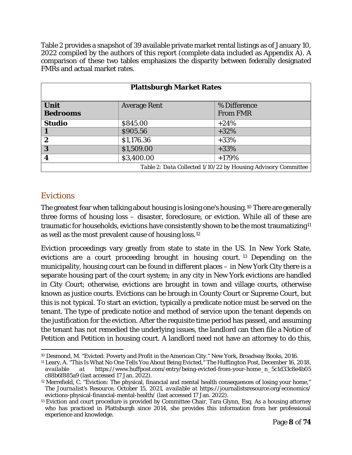Table 2 provides a snapshot of 39 available private market rental listings as of January 10, 2022 compiled by the authors of this report (complete data included as Appendix A). A comparison of these two tables emphasizes the disparity between federally designated FMRs and actual market rates.

| <b>Plattsburgh Market Rates</b>                               |                     |                                 |  |  |
|---------------------------------------------------------------|---------------------|---------------------------------|--|--|
| <b>Unit</b><br><b>Bedrooms</b>                                | <b>Average Rent</b> | % Difference<br><b>From FMR</b> |  |  |
| <b>Studio</b>                                                 | \$845.00            | $+24%$                          |  |  |
| $\blacksquare$                                                | \$905.56            | $+32\%$                         |  |  |
| $\boldsymbol{2}$                                              | \$1,176.36          | $+33%$                          |  |  |
| $\mathbf{3}$                                                  | \$1,509.00          | $+33%$                          |  |  |
| $\boldsymbol{4}$                                              | \$3,400.00          | $+179%$                         |  |  |
| Table 2: Data Collected 1/10/22 by Housing Advisory Committee |                     |                                 |  |  |

#### *Evictions*

The greatest fear when talking about housing is losing one's housing.[10](#page-7-0) There are generally three forms of housing loss – disaster, foreclosure, or eviction. While all of these are traumatic for households, evictions have consistently shown to be the most traumatizing<sup>[11](#page-7-1)</sup> as well as the most prevalent cause of housing loss.[12](#page-7-2)

Eviction proceedings vary greatly from state to state in the US. In New York State, evictions are a court proceeding brought in housing court. [13](#page-7-3) Depending on the municipality, housing court can be found in different places – in New York City there is a separate housing part of the court system; in any city in New York evictions are handled in City Court; otherwise, evictions are brought in town and village courts, otherwise known as justice courts. Evictions can be brough in County Court or Supreme Court, but this is not typical. To start an eviction, typically a predicate notice must be served on the tenant. The type of predicate notice and method of service upon the tenant depends on the justification for the eviction. After the requisite time period has passed, and assuming the tenant has not remedied the underlying issues, the landlord can then file a Notice of Petition and Petition in housing court. A landlord need not have an attorney to do this,

<span id="page-7-0"></span> $\overline{a}$ <sup>10</sup> Desmond, M. "Evicted: Poverty and Profit in the American City." New York, Broadway Books, 2016.

<span id="page-7-1"></span><sup>11</sup> Leary, A. "This Is What No One Tells You About Being Evicted," *The Huffington Post*, December 16, 2018, *available at* https://www.huffpost.com/entry/being-evicted-from-your-home\_n\_5c1d33c8e4b05 c88b6f885a9 (last accessed 17 Jan. 2022).

<span id="page-7-2"></span><sup>&</sup>lt;sup>12</sup> Merrefield, C. "Eviction: The physical, financial and mental health consequences of losing your home," *The Journalist's Resource,* October 15, 2021, *available at* https://journalistsresource.org/economics/

<span id="page-7-3"></span> $^{13}$  Eviction and court procedure is provided by Committee Chair, Tara Glynn, Esq. As a housing attorney who has practiced in Plattsburgh since 2014, she provides this information from her professional experience and knowledge.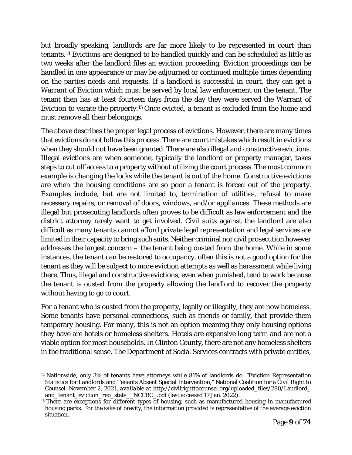but broadly speaking, landlords are far more likely to be represented in court than tenants.[14](#page-8-0) Evictions are designed to be handled quickly and can be scheduled as little as two weeks after the landlord files an eviction proceeding. Eviction proceedings can be handled in one appearance or may be adjourned or continued multiple times depending on the parties needs and requests. If a landlord is successful in court, they can get a Warrant of Eviction which must be served by local law enforcement on the tenant. The tenant then has at least fourteen days from the day they were served the Warrant of Eviction to vacate the property.[15](#page-8-1) Once evicted, a tenant is excluded from the home and must remove all their belongings.

The above describes the proper legal process of evictions. However, there are many times that evictions do not follow this process. There are court mistakes which result in evictions when they should not have been granted. There are also illegal and constructive evictions. Illegal evictions are when someone, typically the landlord or property manager, takes steps to cut off access to a property without utilizing the court process. The most common example is changing the locks while the tenant is out of the home. Constructive evictions are when the housing conditions are so poor a tenant is forced out of the property. Examples include, but are not limited to, termination of utilities, refusal to make necessary repairs, or removal of doors, windows, and/or appliances. These methods are illegal but prosecuting landlords often proves to be difficult as law enforcement and the district attorney rarely want to get involved. Civil suits against the landlord are also difficult as many tenants cannot afford private legal representation and legal services are limited in their capacity to bring such suits. Neither criminal nor civil prosecution however addresses the largest concern – the tenant being ousted from the home. While in some instances, the tenant can be restored to occupancy, often this is not a good option for the tenant as they will be subject to more eviction attempts as well as harassment while living there. Thus, illegal and constructive evictions, even when punished, tend to work because the tenant is ousted from the property allowing the landlord to recover the property without having to go to court.

For a tenant who is ousted from the property, legally or illegally, they are now homeless. Some tenants have personal connections, such as friends or family, that provide them temporary housing. For many, this is not an option meaning they only housing options they have are hotels or homeless shelters. Hotels are expensive long term and are not a viable option for most households. In Clinton County, there are not any homeless shelters in the traditional sense. The Department of Social Services contracts with private entities,

 $\overline{a}$ 

<span id="page-8-0"></span><sup>14</sup> Nationwide, only 3% of tenants have attorneys while 81% of landlords do. "Eviction Representation Statistics for Landlords and Tenants Absent Special Intervention," National Coalition for a Civil Right to Counsel, November 2, 2021, *available at* http://civilrighttocounsel.org/uploaded\_files/280/Landlord\_ and\_tenant\_eviction\_rep\_stats\_\_NCCRC\_.pdf (last accessed 17 Jan. 2022).

<span id="page-8-1"></span><sup>&</sup>lt;sup>15</sup> There are exceptions for different types of housing, such as manufactured housing in manufactured housing parks. For the sake of brevity, the information provided is representative of the average eviction situation.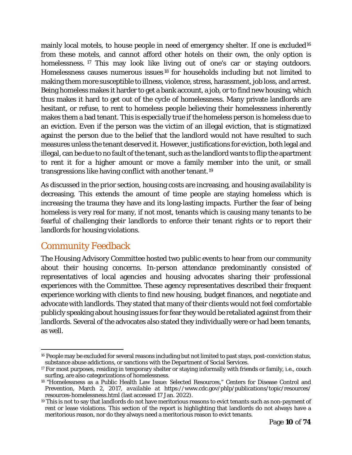mainly local motels, to house people in need of emergency shelter. If one is excluded<sup>[16](#page-9-1)</sup> from these motels, and cannot afford other hotels on their own, the only option is homelessness. <sup>[17](#page-9-2)</sup> This may look like living out of one's car or staying outdoors. Homelessness causes numerous issues [18](#page-9-3) for households including but not limited to making them more susceptible to illness, violence, stress, harassment, job loss, and arrest. Being homeless makes it harder to get a bank account, a job, or to find new housing, which thus makes it hard to get out of the cycle of homelessness. Many private landlords are hesitant, or refuse, to rent to homeless people believing their homelessness inherently makes them a bad tenant. This is especially true if the homeless person is homeless due to an eviction. Even if the person was the victim of an illegal eviction, that is stigmatized against the person due to the belief that the landlord would not have resulted to such measures unless the tenant deserved it. However, justifications for eviction, both legal and illegal, can be due to no fault of the tenant, such as the landlord wants to flip the apartment to rent it for a higher amount or move a family member into the unit, or small transgressions like having conflict with another tenant.[19](#page-9-4) 

As discussed in the prior section, housing costs are increasing, and housing availability is decreasing. This extends the amount of time people are staying homeless which is increasing the trauma they have and its long-lasting impacts. Further the fear of being homeless is very real for many, if not most, tenants which is causing many tenants to be fearful of challenging their landlords to enforce their tenant rights or to report their landlords for housing violations.

## <span id="page-9-0"></span>Community Feedback

 $\overline{a}$ 

The Housing Advisory Committee hosted two public events to hear from our community about their housing concerns. In-person attendance predominantly consisted of representatives of local agencies and housing advocates sharing their professional experiences with the Committee. These agency representatives described their frequent experience working with clients to find new housing, budget finances, and negotiate and advocate with landlords. They stated that many of their clients would not feel comfortable publicly speaking about housing issues for fear they would be retaliated against from their landlords. Several of the advocates also stated they individually were or had been tenants, as well.

<span id="page-9-1"></span><sup>16</sup> People may be excluded for several reasons including but not limited to past stays, post-conviction status, substance abuse addictions, or sanctions with the Department of Social Services.

<span id="page-9-2"></span><sup>17</sup> For most purposes, residing in temporary shelter or staying informally with friends or family, i.e., couch surfing, are also categorizations of homelessness.

<span id="page-9-3"></span><sup>18</sup> "Homelessness as a Public Health Law Issue: Selected Resources," Centers for Disease Control and Prevention, March 2, 2017, *available at* https://www.cdc.gov/phlp/publications/topic/resources/ resources-homelessness.html (last accessed 17 Jan. 2022).

<span id="page-9-4"></span><sup>&</sup>lt;sup>19</sup> This is not to say that landlords do not have meritorious reasons to evict tenants such as non-payment of rent or lease violations. This section of the report is highlighting that landlords do not always have a meritorious reason, nor do they always need a meritorious reason to evict tenants.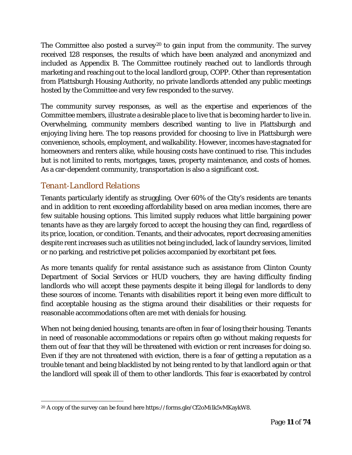The Committee also posted a survey<sup>[20](#page-10-0)</sup> to gain input from the community. The survey received 128 responses, the results of which have been analyzed and anonymized and included as Appendix B. The Committee routinely reached out to landlords through marketing and reaching out to the local landlord group, COPP. Other than representation from Plattsburgh Housing Authority, no private landlords attended any public meetings hosted by the Committee and very few responded to the survey.

The community survey responses, as well as the expertise and experiences of the Committee members, illustrate a desirable place to live that is becoming harder to live in. Overwhelming, community members described wanting to live in Plattsburgh and enjoying living here. The top reasons provided for choosing to live in Plattsburgh were convenience, schools, employment, and walkability. However, incomes have stagnated for homeowners and renters alike, while housing costs have continued to rise. This includes but is not limited to rents, mortgages, taxes, property maintenance, and costs of homes. As a car-dependent community, transportation is also a significant cost.

## *Tenant-Landlord Relations*

Tenants particularly identify as struggling. Over 60% of the City's residents are tenants and in addition to rent exceeding affordability based on area median incomes, there are few suitable housing options. This limited supply reduces what little bargaining power tenants have as they are largely forced to accept the housing they can find, regardless of its price, location, or condition. Tenants, and their advocates, report decreasing amenities despite rent increases such as utilities not being included, lack of laundry services, limited or no parking, and restrictive pet policies accompanied by exorbitant pet fees.

As more tenants qualify for rental assistance such as assistance from Clinton County Department of Social Services or HUD vouchers, they are having difficulty finding landlords who will accept these payments despite it being illegal for landlords to deny these sources of income. Tenants with disabilities report it being even more difficult to find acceptable housing as the stigma around their disabilities or their requests for reasonable accommodations often are met with denials for housing.

When not being denied housing, tenants are often in fear of losing their housing. Tenants in need of reasonable accommodations or repairs often go without making requests for them out of fear that they will be threatened with eviction or rent increases for doing so. Even if they are not threatened with eviction, there is a fear of getting a reputation as a trouble tenant and being blacklisted by not being rented to by that landlord again or that the landlord will speak ill of them to other landlords. This fear is exacerbated by control

<span id="page-10-0"></span> $\overline{a}$ 20 A copy of the survey can be found here https://forms.gle/Cf2oMi1k5vMKaykW8.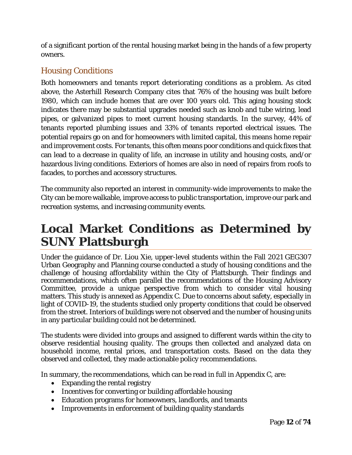of a significant portion of the rental housing market being in the hands of a few property owners.

## *Housing Conditions*

Both homeowners and tenants report deteriorating conditions as a problem. As cited above, the Asterhill Research Company cites that 76% of the housing was built before 1980, which can include homes that are over 100 years old. This aging housing stock indicates there may be substantial upgrades needed such as knob and tube wiring, lead pipes, or galvanized pipes to meet current housing standards. In the survey, 44% of tenants reported plumbing issues and 33% of tenants reported electrical issues. The potential repairs go on and for homeowners with limited capital, this means home repair and improvement costs. For tenants, this often means poor conditions and quick fixes that can lead to a decrease in quality of life, an increase in utility and housing costs, and/or hazardous living conditions. Exteriors of homes are also in need of repairs from roofs to facades, to porches and accessory structures.

The community also reported an interest in community-wide improvements to make the City can be more walkable, improve access to public transportation, improve our park and recreation systems, and increasing community events.

# <span id="page-11-0"></span>**Local Market Conditions as Determined by SUNY Plattsburgh**

Under the guidance of Dr. Liou Xie, upper-level students within the Fall 2021 GEG307 Urban Geography and Planning course conducted a study of housing conditions and the challenge of housing affordability within the City of Plattsburgh. Their findings and recommendations, which often parallel the recommendations of the Housing Advisory Committee, provide a unique perspective from which to consider vital housing matters. This study is annexed as Appendix C. Due to concerns about safety, especially in light of COVID-19, the students studied only property conditions that could be observed from the street. Interiors of buildings were not observed and the number of housing units in any particular building could not be determined.

The students were divided into groups and assigned to different wards within the city to observe residential housing quality. The groups then collected and analyzed data on household income, rental prices, and transportation costs. Based on the data they observed and collected, they made actionable policy recommendations.

In summary, the recommendations, which can be read in full in Appendix C, are:

- Expanding the rental registry
- Incentives for converting or building affordable housing
- Education programs for homeowners, landlords, and tenants
- Improvements in enforcement of building quality standards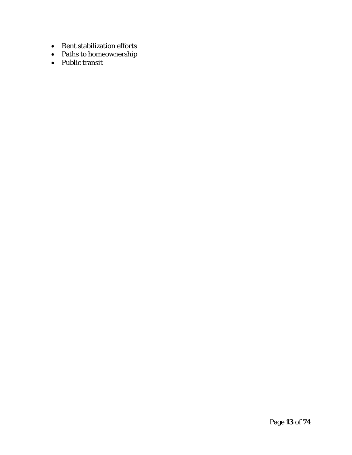- Rent stabilization efforts
- Paths to homeownership
- Public transit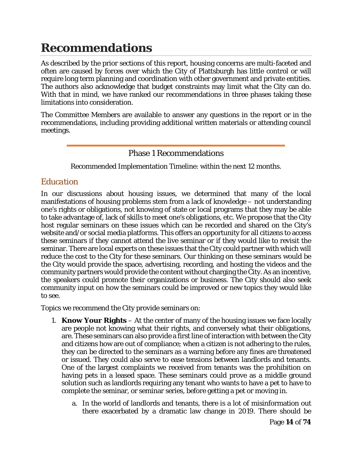# <span id="page-13-0"></span>**Recommendations**

As described by the prior sections of this report, housing concerns are multi-faceted and often are caused by forces over which the City of Plattsburgh has little control or will require long term planning and coordination with other government and private entities. The authors also acknowledge that budget constraints may limit what the City can do. With that in mind, we have ranked our recommendations in three phases taking these limitations into consideration.

The Committee Members are available to answer any questions in the report or in the recommendations, including providing additional written materials or attending council meetings.

#### Phase 1 Recommendations

Recommended Implementation Timeline: within the next 12 months.

#### *Education*

In our discussions about housing issues, we determined that many of the local manifestations of housing problems stem from a lack of knowledge – not understanding one's rights or obligations, not knowing of state or local programs that they may be able to take advantage of, lack of skills to meet one's obligations, etc. We propose that the City host regular seminars on these issues which can be recorded and shared on the City's website and/or social media platforms. This offers an opportunity for all citizens to access these seminars if they cannot attend the live seminar or if they would like to revisit the seminar. There are local experts on these issues that the City could partner with which will reduce the cost to the City for these seminars. Our thinking on these seminars would be the City would provide the space, advertising, recording, and hosting the videos and the community partners would provide the content without charging the City. As an incentive, the speakers could promote their organizations or business. The City should also seek community input on how the seminars could be improved or new topics they would like to see.

Topics we recommend the City provide seminars on:

- 1. **Know Your Rights** At the center of many of the housing issues we face locally are people not knowing what their rights, and conversely what their obligations, are. These seminars can also provide a first line of interaction with between the City and citizens how are out of compliance; when a citizen is not adhering to the rules, they can be directed to the seminars as a warning before any fines are threatened or issued. They could also serve to ease tensions between landlords and tenants. One of the largest complaints we received from tenants was the prohibition on having pets in a leased space. These seminars could prove as a middle ground solution such as landlords requiring any tenant who wants to have a pet to have to complete the seminar, or seminar series, before getting a pet or moving in.
	- a. In the world of landlords and tenants, there is a lot of misinformation out there exacerbated by a dramatic law change in 2019. There should be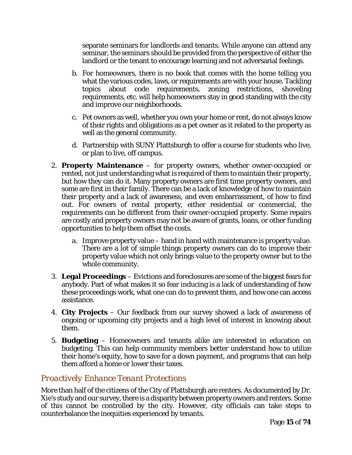separate seminars for landlords and tenants. While anyone can attend any seminar, the seminars should be provided from the perspective of either the landlord or the tenant to encourage learning and not adversarial feelings.

- b. For homeowners, there is no book that comes with the home telling you what the various codes, laws, or requirements are with your house. Tackling topics about code requirements, zoning restrictions, shoveling requirements, etc. will help homeowners stay in good standing with the city and improve our neighborhoods.
- c. Pet owners as well, whether you own your home or rent, do not always know of their rights and obligations as a pet owner as it related to the property as well as the general community.
- d. Partnership with SUNY Plattsburgh to offer a course for students who live, or plan to live, off campus.
- 2. **Property Maintenance** for property owners, whether owner-occupied or rented, not just understanding what is required of them to maintain their property, but how they can do it. Many property owners are first time property owners, and some are first in their family. There can be a lack of knowledge of how to maintain their property and a lack of awareness, and even embarrassment, of how to find out. For owners of rental property, either residential or commercial, the requirements can be different from their owner-occupied property. Some repairs are costly and property owners may not be aware of grants, loans, or other funding opportunities to help them offset the costs.
	- a. Improve property value hand in hand with maintenance is property value. There are a lot of simple things property owners can do to improve their property value which not only brings value to the property owner but to the whole community.
- 3. **Legal Proceedings** Evictions and foreclosures are some of the biggest fears for anybody. Part of what makes it so fear inducing is a lack of understanding of how these proceedings work, what one can do to prevent them, and how one can access assistance.
- 4. **City Projects** Our feedback from our survey showed a lack of awareness of ongoing or upcoming city projects and a high level of interest in knowing about them.
- 5. **Budgeting** Homeowners and tenants alike are interested in education on budgeting. This can help community members better understand how to utilize their home's equity, how to save for a down payment, and programs that can help them afford a home or lower their taxes.

#### *Proactively Enhance Tenant Protections*

More than half of the citizens of the City of Plattsburgh are renters. As documented by Dr. Xie's study and our survey, there is a disparity between property owners and renters. Some of this cannot be controlled by the city. However, city officials can take steps to counterbalance the inequities experienced by tenants.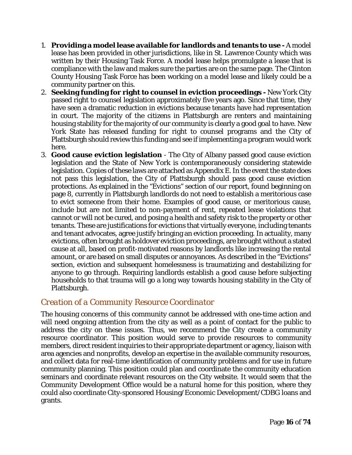- 1. **Providing a model lease available for landlords and tenants to use** A model lease has been provided in other jurisdictions, like in St. Lawrence County which was written by their Housing Task Force. A model lease helps promulgate a lease that is compliance with the law and makes sure the parties are on the same page. The Clinton County Housing Task Force has been working on a model lease and likely could be a community partner on this.
- 2. **Seeking funding for right to counsel in eviction proceedings** New York City passed right to counsel legislation approximately five years ago. Since that time, they have seen a dramatic reduction in evictions because tenants have had representation in court. The majority of the citizens in Plattsburgh are renters and maintaining housing stability for the majority of our community is clearly a good goal to have. New York State has released funding for right to counsel programs and the City of Plattsburgh should review this funding and see if implementing a program would work here.
- 3. **Good cause eviction legislation** The City of Albany passed good cause eviction legislation and the State of New York is contemporaneously considering statewide legislation. Copies of these laws are attached as Appendix E. In the event the state does not pass this legislation, the City of Plattsburgh should pass good cause eviction protections. As explained in the "Evictions" section of our report, found beginning on page 8, currently in Plattsburgh landlords do not need to establish a meritorious case to evict someone from their home. Examples of good cause, or meritorious cause, include but are not limited to non-payment of rent, repeated lease violations that cannot or will not be cured, and posing a health and safety risk to the property or other tenants. These are justifications for evictions that virtually everyone, including tenants and tenant advocates, agree justify bringing an eviction proceeding. In actuality, many evictions, often brought as holdover eviction proceedings, are brought without a stated cause at all, based on profit-motivated reasons by landlords like increasing the rental amount, or are based on small disputes or annoyances. As described in the "Evictions" section, eviction and subsequent homelessness is traumatizing and destabilizing for anyone to go through. Requiring landlords establish a good cause before subjecting households to that trauma will go a long way towards housing stability in the City of Plattsburgh.

#### *Creation of a Community Resource Coordinator*

The housing concerns of this community cannot be addressed with one-time action and will need ongoing attention from the city as well as a point of contact for the public to address the city on these issues. Thus, we recommend the City create a community resource coordinator. This position would serve to provide resources to community members, direct resident inquiries to their appropriate department or agency, liaison with area agencies and nonprofits, develop an expertise in the available community resources, and collect data for real-time identification of community problems and for use in future community planning. This position could plan and coordinate the community education seminars and coordinate relevant resources on the City website. It would seem that the Community Development Office would be a natural home for this position, where they could also coordinate City-sponsored Housing/Economic Development/CDBG loans and grants.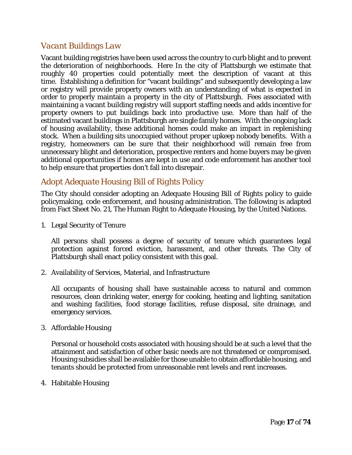#### *Vacant Buildings Law*

Vacant building registries have been used across the country to curb blight and to prevent the deterioration of neighborhoods. Here In the city of Plattsburgh we estimate that roughly 40 properties could potentially meet the description of vacant at this time. Establishing a definition for "vacant buildings" and subsequently developing a law or registry will provide property owners with an understanding of what is expected in order to properly maintain a property in the city of Plattsburgh. Fees associated with maintaining a vacant building registry will support staffing needs and adds incentive for property owners to put buildings back into productive use. More than half of the estimated vacant buildings in Plattsburgh are single family homes. With the ongoing lack of housing availability, these additional homes could make an impact in replenishing stock. When a building sits unoccupied without proper upkeep nobody benefits. With a registry, homeowners can be sure that their neighborhood will remain free from unnecessary blight and deterioration, prospective renters and home buyers may be given additional opportunities if homes are kept in use and code enforcement has another tool to help ensure that properties don't fall into disrepair.

### *Adopt Adequate Housing Bill of Rights Policy*

The City should consider adopting an Adequate Housing Bill of Rights policy to guide policymaking, code enforcement, and housing administration. The following is adapted from Fact Sheet No. 21, The Human Right to Adequate Housing, by the United Nations.

1. Legal Security of Tenure

All persons shall possess a degree of security of tenure which guarantees legal protection against forced eviction, harassment, and other threats. The City of Plattsburgh shall enact policy consistent with this goal.

2. Availability of Services, Material, and Infrastructure

All occupants of housing shall have sustainable access to natural and common resources, clean drinking water, energy for cooking, heating and lighting, sanitation and washing facilities, food storage facilities, refuse disposal, site drainage, and emergency services.

3. Affordable Housing

Personal or household costs associated with housing should be at such a level that the attainment and satisfaction of other basic needs are not threatened or compromised. Housing subsidies shall be available for those unable to obtain affordable housing, and tenants should be protected from unreasonable rent levels and rent increases.

4. Habitable Housing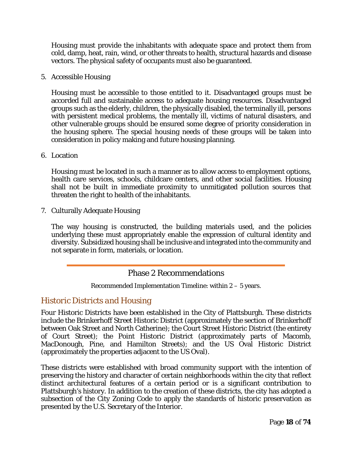Housing must provide the inhabitants with adequate space and protect them from cold, damp, heat, rain, wind, or other threats to health, structural hazards and disease vectors. The physical safety of occupants must also be guaranteed.

5. Accessible Housing

Housing must be accessible to those entitled to it. Disadvantaged groups must be accorded full and sustainable access to adequate housing resources. Disadvantaged groups such as the elderly, children, the physically disabled, the terminally ill, persons with persistent medical problems, the mentally ill, victims of natural disasters, and other vulnerable groups should be ensured some degree of priority consideration in the housing sphere. The special housing needs of these groups will be taken into consideration in policy making and future housing planning.

6. Location

Housing must be located in such a manner as to allow access to employment options, health care services, schools, childcare centers, and other social facilities. Housing shall not be built in immediate proximity to unmitigated pollution sources that threaten the right to health of the inhabitants.

7. Culturally Adequate Housing

The way housing is constructed, the building materials used, and the policies underlying these must appropriately enable the expression of cultural identity and diversity. Subsidized housing shall be inclusive and integrated into the community and not separate in form, materials, or location.

#### Phase 2 Recommendations

Recommended Implementation Timeline: within 2 – 5 years.

#### *Historic Districts and Housing*

Four Historic Districts have been established in the City of Plattsburgh. These districts include the Brinkerhoff Street Historic District (approximately the section of Brinkerhoff between Oak Street and North Catherine); the Court Street Historic District (the entirety of Court Street); the Point Historic District (approximately parts of Macomb, MacDonough, Pine, and Hamilton Streets); and the US Oval Historic District (approximately the properties adjacent to the US Oval).

These districts were established with broad community support with the intention of preserving the history and character of certain neighborhoods within the city that reflect distinct architectural features of a certain period or is a significant contribution to Plattsburgh's history. In addition to the creation of these districts, the city has adopted a subsection of the City Zoning Code to apply the standards of historic preservation as presented by the U.S. Secretary of the Interior.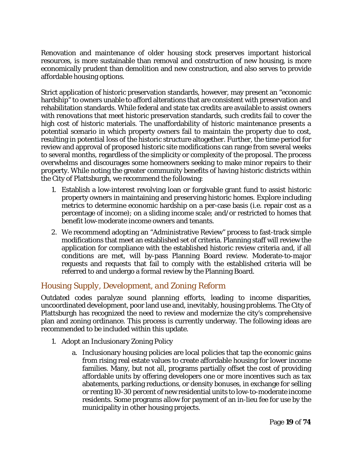Renovation and maintenance of older housing stock preserves important historical resources, is more sustainable than removal and construction of new housing, is more economically prudent than demolition and new construction, and also serves to provide affordable housing options.

Strict application of historic preservation standards, however, may present an "economic hardship" to owners unable to afford alterations that are consistent with preservation and rehabilitation standards. While federal and state tax credits are available to assist owners with renovations that meet historic preservation standards, such credits fail to cover the high cost of historic materials. The unaffordability of historic maintenance presents a potential scenario in which property owners fail to maintain the property due to cost, resulting in potential loss of the historic structure altogether. Further, the time period for review and approval of proposed historic site modifications can range from several weeks to several months, regardless of the simplicity or complexity of the proposal. The process overwhelms and discourages some homeowners seeking to make minor repairs to their property. While noting the greater community benefits of having historic districts within the City of Plattsburgh, we recommend the following:

- 1. Establish a low-interest revolving loan or forgivable grant fund to assist historic property owners in maintaining and preserving historic homes. Explore including metrics to determine economic hardship on a per-case basis (i.e. repair cost as a percentage of income); on a sliding income scale; and/or restricted to homes that benefit low-moderate income owners and tenants.
- 2. We recommend adopting an "Administrative Review" process to fast-track simple modifications that meet an established set of criteria. Planning staff will review the application for compliance with the established historic review criteria and, if all conditions are met, will by-pass Planning Board review. Moderate-to-major requests and requests that fail to comply with the established criteria will be referred to and undergo a formal review by the Planning Board.

#### *Housing Supply, Development, and Zoning Reform*

Outdated codes paralyze sound planning efforts, leading to income disparities, uncoordinated development, poor land use and, inevitably, housing problems. The City of Plattsburgh has recognized the need to review and modernize the city's comprehensive plan and zoning ordinance. This process is currently underway. The following ideas are recommended to be included within this update.

- 1. Adopt an Inclusionary Zoning Policy
	- a. Inclusionary housing policies are local policies that tap the economic gains from rising real estate values to create affordable housing for lower income families. Many, but not all, programs partially offset the cost of providing affordable units by offering developers one or more incentives such as tax abatements, parking reductions, or density bonuses, in exchange for selling or renting 10-30 percent of new residential units to low-to-moderate income residents. Some programs allow for payment of an in-lieu fee for use by the municipality in other housing projects.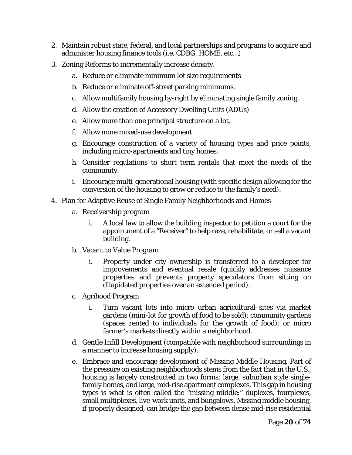- 2. Maintain robust state, federal, and local partnerships and programs to acquire and administer housing finance tools (i.e. CDBG, HOME, etc…)
- 3. Zoning Reforms to incrementally increase density.
	- a. Reduce or eliminate minimum lot size requirements
	- b. Reduce or eliminate off-street parking minimums.
	- c. Allow multifamily housing by-right by eliminating single family zoning.
	- d. Allow the creation of Accessory Dwelling Units (ADUs)
	- e. Allow more than one principal structure on a lot.
	- f. Allow more mixed-use development
	- g. Encourage construction of a variety of housing types and price points, including micro-apartments and tiny homes.
	- h. Consider regulations to short term rentals that meet the needs of the community.
	- i. Encourage multi-generational housing (with specific design allowing for the conversion of the housing to grow or reduce to the family's need).
- 4. Plan for Adaptive Reuse of Single Family Neighborhoods and Homes
	- a. Receivership program
		- i. A local law to allow the building inspector to petition a court for the appointment of a "Receiver" to help raze, rehabilitate, or sell a vacant building.
	- b. Vacant to Value Program
		- i. Property under city ownership is transferred to a developer for improvements and eventual resale (quickly addresses nuisance properties and prevents property speculators from sitting on dilapidated properties over an extended period).
	- c. Agrihood Program
		- i. Turn vacant lots into micro urban agricultural sites via market gardens (mini-lot for growth of food to be sold); community gardens (spaces rented to individuals for the growth of food); or micro farmer's markets directly within a neighborhood.
	- d. Gentle Infill Development (compatible with neighborhood surroundings in a manner to increase housing supply).
	- e. Embrace and encourage development of Missing Middle Housing. Part of the pressure on existing neighborhoods stems from the fact that in the U.S., housing is largely constructed in two forms: large, suburban style singlefamily homes, and large, mid-rise apartment complexes. This gap in housing types is what is often called the "missing middle:" duplexes, fourplexes, small multiplexes, live-work units, and bungalows. Missing middle housing, if properly designed, can bridge the gap between dense mid-rise residential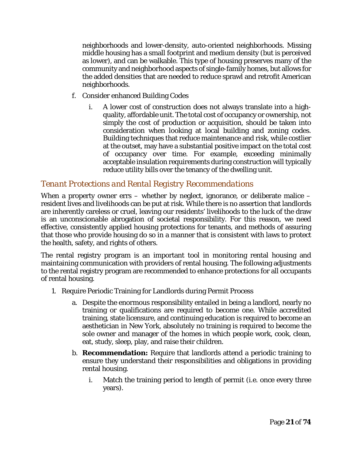neighborhoods and lower-density, auto-oriented neighborhoods. Missing middle housing has a small footprint and medium density (but is perceived as lower), and can be walkable. This type of housing preserves many of the community and neighborhood aspects of single-family homes, but allows for the added densities that are needed to reduce sprawl and retrofit American neighborhoods.

- f. Consider enhanced Building Codes
	- i. A lower cost of construction does not always translate into a highquality, affordable unit. The total cost of occupancy or ownership, not simply the cost of production or acquisition, should be taken into consideration when looking at local building and zoning codes. Building techniques that reduce maintenance and risk, while costlier at the outset, may have a substantial positive impact on the total cost of occupancy over time. For example, exceeding minimally acceptable insulation requirements during construction will typically reduce utility bills over the tenancy of the dwelling unit.

#### *Tenant Protections and Rental Registry Recommendations*

When a property owner errs – whether by neglect, ignorance, or deliberate malice – resident lives and livelihoods can be put at risk. While there is no assertion that landlords are inherently careless or cruel, leaving our residents' livelihoods to the luck of the draw is an unconscionable abrogation of societal responsibility. For this reason, we need effective, consistently applied housing protections for tenants, and methods of assuring that those who provide housing do so in a manner that is consistent with laws to protect the health, safety, and rights of others.

The rental registry program is an important tool in monitoring rental housing and maintaining communication with providers of rental housing. The following adjustments to the rental registry program are recommended to enhance protections for all occupants of rental housing.

- 1. Require Periodic Training for Landlords during Permit Process
	- a. Despite the enormous responsibility entailed in being a landlord, nearly no training or qualifications are required to become one. While accredited training, state licensure, and continuing education is required to become an aesthetician in New York, absolutely no training is required to become the sole owner and manager of the homes in which people work, cook, clean, eat, study, sleep, play, and raise their children.
	- b. **Recommendation:** Require that landlords attend a periodic training to ensure they understand their responsibilities and obligations in providing rental housing.
		- i. Match the training period to length of permit (i.e. once every three years).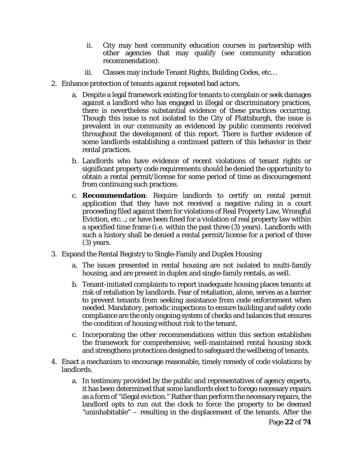- ii. City may host community education courses in partnership with other agencies that may qualify (see community education recommendation).
- iii. Classes may include Tenant Rights, Building Codes, etc…
- 2. Enhance protection of tenants against repeated bad actors.
	- a. Despite a legal framework existing for tenants to complain or seek damages against a landlord who has engaged in illegal or discriminatory practices, there is nevertheless substantial evidence of these practices occurring. Though this issue is not isolated to the City of Plattsburgh, the issue is prevalent in our community as evidenced by public comments received throughout the development of this report. There is further evidence of some landlords establishing a continued pattern of this behavior in their rental practices.
	- b. Landlords who have evidence of recent violations of tenant rights or significant property code requirements should be denied the opportunity to obtain a rental permit/license for some period of time as discouragement from continuing such practices.
	- c. **Recommendation**: Require landlords to certify on rental permit application that they have not received a negative ruling in a court proceeding filed against them for violations of Real Property Law, Wrongful Eviction, etc…; or have been fined for a violation of real property law within a specified time frame (i.e. within the past three (3) years). Landlords with such a history shall be denied a rental permit/license for a period of three (3) years.
- 3. Expand the Rental Registry to Single-Family and Duplex Housing
	- a. The issues presented in rental housing are not isolated to multi-family housing, and are present in duplex and single-family rentals, as well.
	- b. Tenant-initiated complaints to report inadequate housing places tenants at risk of retaliation by landlords. Fear of retaliation, alone, serves as a barrier to prevent tenants from seeking assistance from code enforcement when needed. Mandatory, periodic inspections to ensure building and safety code compliance are the only ongoing system of checks and balances that ensures the condition of housing without risk to the tenant.
	- c. Incorporating the other recommendations within this section establishes the framework for comprehensive, well-maintained rental housing stock and strengthens protections designed to safeguard the wellbeing of tenants.
- 4. Enact a mechanism to encourage reasonable, timely remedy of code violations by landlords.
	- a. In testimony provided by the public and representatives of agency experts, it has been determined that some landlords elect to forego necessary repairs as a form of "illegal eviction." Rather than perform the necessary repairs, the landlord opts to run out the clock to force the property to be deemed "uninhabitable" – resulting in the displacement of the tenants. After the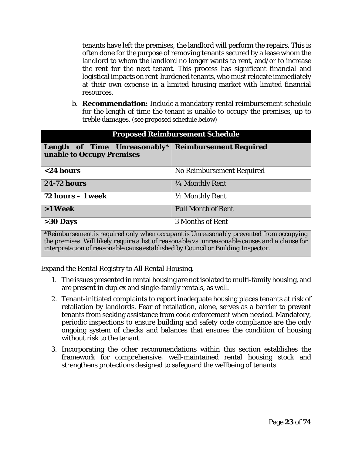tenants have left the premises, the landlord will perform the repairs. This is often done for the purpose of removing tenants secured by a lease whom the landlord to whom the landlord no longer wants to rent, and/or to increase the rent for the next tenant. This process has significant financial and logistical impacts on rent-burdened tenants, who must relocate immediately at their own expense in a limited housing market with limited financial resources.

b. **Recommendation:** Include a mandatory rental reimbursement schedule for the length of time the tenant is unable to occupy the premises, up to treble damages. (see proposed schedule below)

| <b>Proposed Reimbursement Schedule</b>                                                 |                           |  |  |
|----------------------------------------------------------------------------------------|---------------------------|--|--|
| Length of Time Unreasonably* Reimbursement Required<br>unable to Occupy Premises       |                           |  |  |
| $<$ 24 hours                                                                           | No Reimbursement Required |  |  |
| <b>24-72 hours</b>                                                                     | 1/4 Monthly Rent          |  |  |
| $72$ hours $-1$ week                                                                   | 1/2 Monthly Rent          |  |  |
| >1 Week                                                                                | <b>Full Month of Rent</b> |  |  |
| $>30$ Days                                                                             | 3 Months of Rent          |  |  |
| *Reimbursement is required only when occupant is Unreasonably prevented from occupying |                           |  |  |

*the premises. Will likely require a list of reasonable vs. unreasonable causes and a clause for interpretation of reasonable cause established by Council or Building Inspector.*

Expand the Rental Registry to All Rental Housing.

- 1. The issues presented in rental housing are not isolated to multi-family housing, and are present in duplex and single-family rentals, as well.
- 2. Tenant-initiated complaints to report inadequate housing places tenants at risk of retaliation by landlords. Fear of retaliation, alone, serves as a barrier to prevent tenants from seeking assistance from code enforcement when needed. Mandatory, periodic inspections to ensure building and safety code compliance are the only ongoing system of checks and balances that ensures the condition of housing without risk to the tenant.
- 3. Incorporating the other recommendations within this section establishes the framework for comprehensive, well-maintained rental housing stock and strengthens protections designed to safeguard the wellbeing of tenants.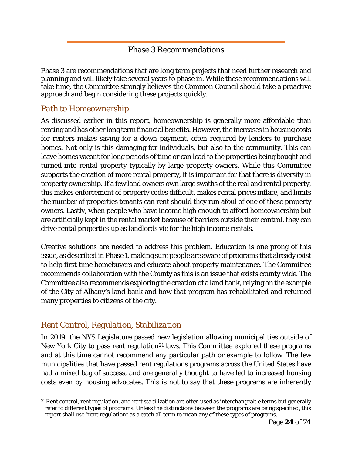### Phase 3 Recommendations

Phase 3 are recommendations that are long term projects that need further research and planning and will likely take several years to phase in. While these recommendations will take time, the Committee strongly believes the Common Council should take a proactive approach and begin considering these projects quickly.

### *Path to Homeownership*

As discussed earlier in this report, homeownership is generally more affordable than renting and has other long term financial benefits. However, the increases in housing costs for renters makes saving for a down payment, often required by lenders to purchase homes. Not only is this damaging for individuals, but also to the community. This can leave homes vacant for long periods of time or can lead to the properties being bought and turned into rental property typically by large property owners. While this Committee supports the creation of more rental property, it is important for that there is diversity in property ownership. If a few land owners own large swaths of the real and rental property, this makes enforcement of property codes difficult, makes rental prices inflate, and limits the number of properties tenants can rent should they run afoul of one of these property owners. Lastly, when people who have income high enough to afford homeownership but are artificially kept in the rental market because of barriers outside their control, they can drive rental properties up as landlords vie for the high income rentals.

Creative solutions are needed to address this problem. Education is one prong of this issue, as described in Phase 1, making sure people are aware of programs that already exist to help first time homebuyers and educate about property maintenance. The Committee recommends collaboration with the County as this is an issue that exists county wide. The Committee also recommends exploring the creation of a land bank, relying on the example of the City of Albany's land bank and how that program has rehabilitated and returned many properties to citizens of the city.

### *Rent Control, Regulation, Stabilization*

 $\overline{a}$ 

In 2019, the NYS Legislature passed new legislation allowing municipalities outside of New York City to pass rent regulation<sup>[21](#page-23-0)</sup> laws. This Committee explored these programs and at this time cannot recommend any particular path or example to follow. The few municipalities that have passed rent regulations programs across the United States have had a mixed bag of success, and are generally thought to have led to increased housing costs even by housing advocates. This is not to say that these programs are inherently

<span id="page-23-0"></span><sup>21</sup> Rent control, rent regulation, and rent stabilization are often used as interchangeable terms but generally refer to different types of programs. Unless the distinctions between the programs are being specified, this report shall use "rent regulation" as a catch all term to mean any of these types of programs.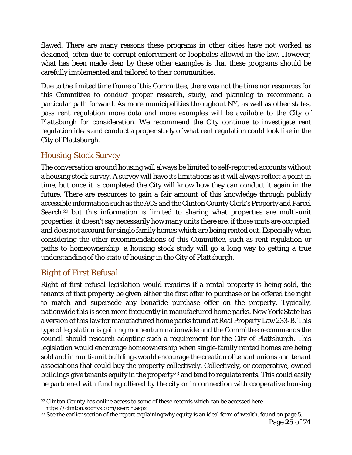flawed. There are many reasons these programs in other cities have not worked as designed, often due to corrupt enforcement or loopholes allowed in the law. However, what has been made clear by these other examples is that these programs should be carefully implemented and tailored to their communities.

Due to the limited time frame of this Committee, there was not the time nor resources for this Committee to conduct proper research, study, and planning to recommend a particular path forward. As more municipalities throughout NY, as well as other states, pass rent regulation more data and more examples will be available to the City of Plattsburgh for consideration. We recommend the City continue to investigate rent regulation ideas and conduct a proper study of what rent regulation could look like in the City of Plattsburgh.

### *Housing Stock Survey*

The conversation around housing will always be limited to self-reported accounts without a housing stock survey. A survey will have its limitations as it will always reflect a point in time, but once it is completed the City will know how they can conduct it again in the future. There are resources to gain a fair amount of this knowledge through publicly accessible information such as the ACS and the Clinton County Clerk's Property and Parcel Search [22](#page-24-0) but this information is limited to sharing what properties are multi-unit properties; it doesn't say necessarily how many units there are, if those units are occupied, and does not account for single family homes which are being rented out. Especially when considering the other recommendations of this Committee, such as rent regulation or paths to homeownership, a housing stock study will go a long way to getting a true understanding of the state of housing in the City of Plattsburgh.

### *Right of First Refusal*

Right of first refusal legislation would requires if a rental property is being sold, the tenants of that property be given either the first offer to purchase or be offered the right to match and supersede any bonafide purchase offer on the property. Typically, nationwide this is seen more frequently in manufactured home parks. New York State has a version of this law for manufactured home parks found at Real Property Law 233-B. This type of legislation is gaining momentum nationwide and the Committee recommends the council should research adopting such a requirement for the City of Plattsburgh. This legislation would encourage homeownership when single-family rented homes are being sold and in multi-unit buildings would encourage the creation of tenant unions and tenant associations that could buy the property collectively. Collectively, or cooperative, owned buildings give tenants equity in the property<sup>[23](#page-24-1)</sup> and tend to regulate rents. This could easily be partnered with funding offered by the city or in connection with cooperative housing

<span id="page-24-0"></span> $\overline{a}$ <sup>22</sup> Clinton County has online access to some of these records which can be accessed here https://clinton.sdgnys.com/search.aspx

<span id="page-24-1"></span><sup>&</sup>lt;sup>23</sup> See the earlier section of the report explaining why equity is an ideal form of wealth, found on page 5.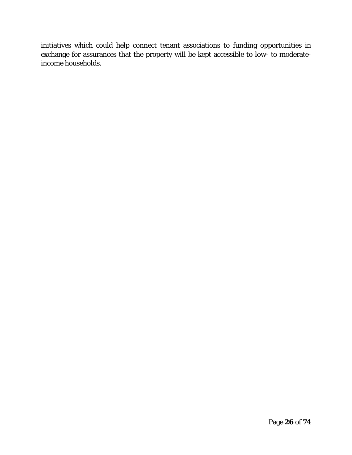initiatives which could help connect tenant associations to funding opportunities in exchange for assurances that the property will be kept accessible to low- to moderateincome households.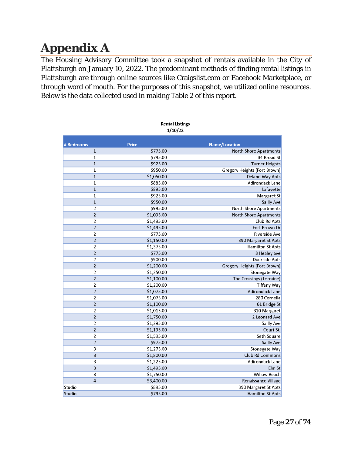# <span id="page-26-0"></span>**Appendix A**

The Housing Advisory Committee took a snapshot of rentals available in the City of Plattsburgh on January 10, 2022. The predominant methods of finding rental listings in Plattsburgh are through online sources like Craigslist.com or Facebook Marketplace, or through word of mouth. For the purposes of this snapshot, we utilized online resources. Below is the data collected used in making Table 2 of this report.

|                         | <b>Rental Listings</b><br>1/10/22 |                               |
|-------------------------|-----------------------------------|-------------------------------|
| #Bedrooms               | <b>Price</b>                      | <b>Name/Location</b>          |
| $\mathbf{1}$            | \$775.00                          | <b>North Shore Apartments</b> |
| 1                       | \$795.00                          | 34 Broad St                   |
| $\mathbf 1$             | \$925.00                          | <b>Turner Heights</b>         |
| $\mathbf{1}$            | \$950.00                          | Gregory Heights (Fort Brown)  |
| $\mathbf{1}$            | \$1,050.00                        | Deland Way Apts               |
| $\mathbf{1}$            | \$885.00                          | Adirondack Lane               |
| $\mathbf{1}$            | \$895.00                          | Lafayette                     |
| $\mathbf{1}$            | \$925.00                          | <b>Margaret St</b>            |
| $\mathbf{1}$            | \$950.00                          | Sailly Ave                    |
| $\overline{2}$          | \$995.00                          | North Shore Apartments        |
| $\overline{2}$          | \$1,095.00                        | North Shore Apartments        |
| $\overline{2}$          | \$1,495.00                        | Club Rd Apts                  |
| $\overline{2}$          | \$1,495.00                        | Fort Brown Dr                 |
| $\overline{2}$          | \$775.00                          | <b>Riverside Ave</b>          |
| $\overline{2}$          | \$1,150.00                        | 390 Margaret St Apts          |
| $\overline{2}$          | \$1,375.00                        | <b>Hamilton St Apts</b>       |
| $\overline{2}$          | \$775.00                          | 8 Healey ave                  |
| $\overline{2}$          | \$900.00                          | Dockside Apts                 |
| $\overline{2}$          | \$1,200.00                        | Gregory Heights (Fort Brown)  |
| $\overline{2}$          | \$1,250.00                        | Stonegate Way                 |
| $\overline{2}$          | \$1,100.00                        | The Crossings (Lorraine)      |
| $\overline{2}$          | \$1,200.00                        | <b>Tiffany Way</b>            |
| $\overline{2}$          | \$1,075.00                        | Adirondack Lane               |
| $\overline{2}$          | \$1,075.00                        | 280 Cornelia                  |
| $\overline{2}$          | \$1,100.00                        | 61 Bridge St                  |
| $\overline{2}$          | \$1,015.00                        | 310 Margaret                  |
| $\overline{2}$          | \$1,750.00                        | 2 Leonard Ave                 |
| $\overline{2}$          | \$1,295.00                        | Sailly Ave                    |
| $\overline{2}$          | \$1,195.00                        | Court St.                     |
| $\overline{2}$          | \$1,595.00                        | Seth Square                   |
| $\overline{2}$          | \$975.00                          | Sailly Ave                    |
| 3                       | \$1,275.00                        | Stonegate Way                 |
| $\overline{\mathbf{3}}$ | \$1,800.00                        | Club Rd Commons               |
| 3                       | \$1,225.00                        | Adirondack Lane               |
| 3                       | \$1,495.00                        | Elm St                        |
| 3                       | \$1,750.00                        | Willow Beach                  |
| $\overline{4}$          | \$3,400.00                        | Renaissance Village           |
| Studio                  | \$895.00                          | 390 Margaret St Apts          |
| Studio                  | \$795.00                          | <b>Hamilton St Apts</b>       |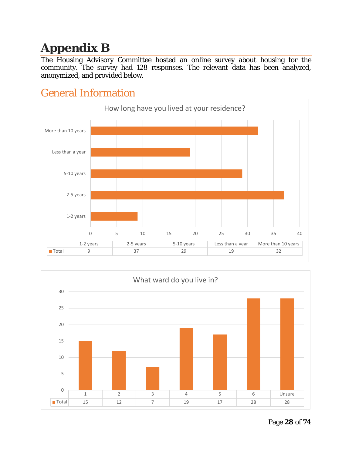# <span id="page-27-0"></span>**Appendix B**

The Housing Advisory Committee hosted an online survey about housing for the community. The survey had 128 responses. The relevant data has been analyzed, anonymized, and provided below.





# <span id="page-27-1"></span>General Information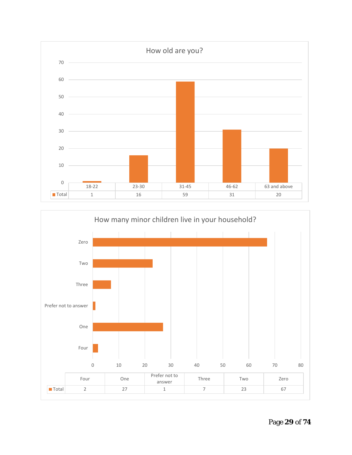

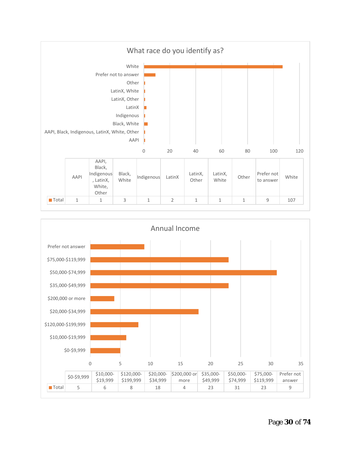

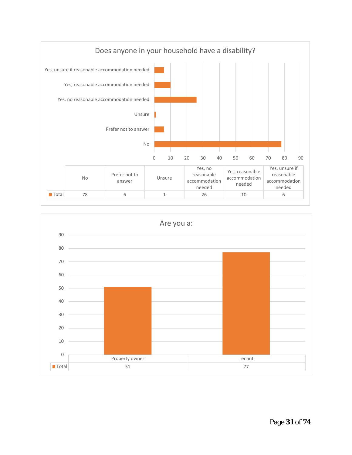

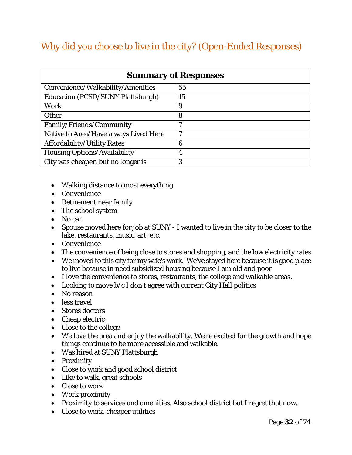# Why did you choose to live in the city? (Open-Ended Responses)

| <b>Summary of Responses</b>              |    |  |  |
|------------------------------------------|----|--|--|
| Convenience/Walkability/Amenities        | 55 |  |  |
| <b>Education (PCSD/SUNY Plattsburgh)</b> | 15 |  |  |
| Work                                     | 9  |  |  |
| <b>Other</b>                             | 8  |  |  |
| Family/Friends/Community                 | 7  |  |  |
| Native to Area/Have always Lived Here    | 7  |  |  |
| Affordability/Utility Rates              | 6  |  |  |
| <b>Housing Options/Availability</b>      | 4  |  |  |
| City was cheaper, but no longer is       | 3  |  |  |

- Walking distance to most everything
- Convenience
- Retirement near family
- The school system
- No car
- Spouse moved here for job at SUNY I wanted to live in the city to be closer to the lake, restaurants, music, art, etc.
- Convenience
- The convenience of being close to stores and shopping, and the low electricity rates
- We moved to this city for my wife's work. We've stayed here because it is good place to live because in need subsidized housing because I am old and poor
- I love the convenience to stores, restaurants, the college and walkable areas.
- Looking to move  $b/c I$  don't agree with current City Hall politics
- No reason
- less travel
- Stores doctors
- Cheap electric
- Close to the college
- We love the area and enjoy the walkability. We're excited for the growth and hope things continue to be more accessible and walkable.
- Was hired at SUNY Plattsburgh
- Proximity
- Close to work and good school district
- Like to walk, great schools
- Close to work
- Work proximity
- Proximity to services and amenities. Also school district but I regret that now.
- Close to work, cheaper utilities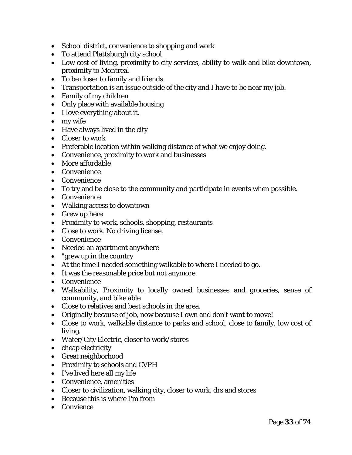- School district, convenience to shopping and work
- To attend Plattsburgh city school
- Low cost of living, proximity to city services, ability to walk and bike downtown, proximity to Montreal
- To be closer to family and friends
- Transportation is an issue outside of the city and I have to be near my job.
- Family of my children
- Only place with available housing
- I love everything about it.
- my wife
- Have always lived in the city
- Closer to work
- Preferable location within walking distance of what we enjoy doing.
- Convenience, proximity to work and businesses
- More affordable
- Convenience
- Convenience
- To try and be close to the community and participate in events when possible.
- Convenience
- Walking access to downtown
- Grew up here
- Proximity to work, schools, shopping, restaurants
- Close to work. No driving license.
- Convenience
- Needed an apartment anywhere
- "grew up in the country
- At the time I needed something walkable to where I needed to go.
- It was the reasonable price but not anymore.
- Convenience
- Walkability, Proximity to locally owned businesses and groceries, sense of community, and bike able
- Close to relatives and best schools in the area.
- Originally because of job, now because I own and don't want to move!
- Close to work, walkable distance to parks and school, close to family, low cost of living.
- Water/City Electric, closer to work/stores
- cheap electricity
- Great neighborhood
- Proximity to schools and CVPH
- I've lived here all my life
- Convenience, amenities
- Closer to civilization, walking city, closer to work, drs and stores
- Because this is where I'm from
- Convience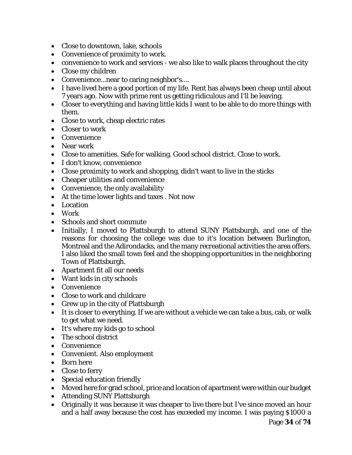- Close to downtown, lake, schools
- Convenience of proximity to work.
- convenience to work and services we also like to walk places throughout the city
- Close my children
- Convenience...near to caring neighbor's....
- I have lived here a good portion of my life. Rent has always been cheap until about 7 years ago. Now with prime rent us getting ridiculous and I'll be leaving.
- Closer to everything and having little kids I want to be able to do more things with them.
- Close to work, cheap electric rates
- Closer to work
- Convenience
- Near work
- Close to amenities. Safe for walking. Good school district. Close to work.
- I don't know, convenience
- Close proximity to work and shopping, didn't want to live in the sticks
- Cheaper utilities and convenience
- Convenience, the only availability
- At the time lower lights and taxes . Not now
- Location
- Work
- Schools and short commute
- Initially, I moved to Plattsburgh to attend SUNY Plattsburgh, and one of the reasons for choosing the college was due to it's location between Burlington, Montreal and the Adirondacks, and the many recreational activities the area offers. I also liked the small town feel and the shopping opportunities in the neighboring Town of Plattsburgh.
- Apartment fit all our needs
- Want kids in city schools
- Convenience
- Close to work and childcare
- Grew up in the city of Plattsburgh
- It is closer to everything. If we are without a vehicle we can take a bus, cab, or walk to get what we need.
- It's where my kids go to school
- The school district
- Convenience
- Convenient. Also employment
- Born here
- Close to ferry
- Special education friendly
- Moved here for grad school, price and location of apartment were within our budget
- Attending SUNY Plattsburgh
- Originally it was because it was cheaper to live there but I've since moved an hour and a half away because the cost has exceeded my income. I was paying \$1000 a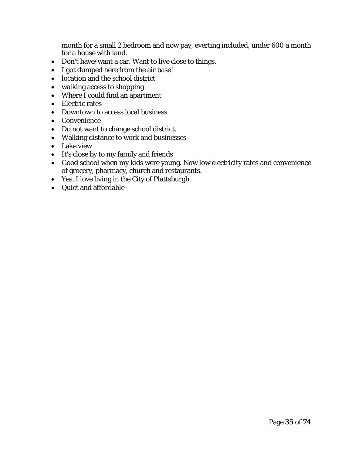month for a small 2 bedroom and now pay, everting included, under 600 a month for a house with land.

- Don't have/want a car. Want to live close to things.
- I got dumped here from the air base!
- location and the school district
- walking access to shopping
- Where I could find an apartment
- Electric rates
- Downtown to access local business
- Convenience
- Do not want to change school district.
- Walking distance to work and businesses
- Lake view
- It's close by to my family and friends
- Good school when my kids were young. Now low electricity rates and convenience of grocery, pharmacy, church and restaurants.
- Yes, I love living in the City of Plattsburgh.
- Quiet and affordable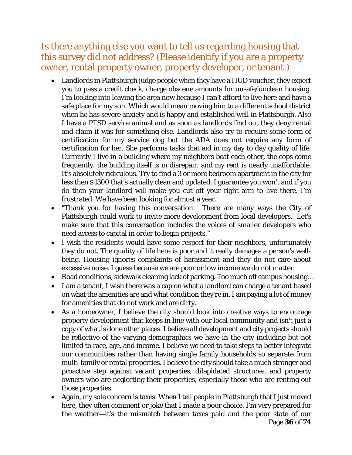Is there anything else you want to tell us regarding housing that this survey did not address? (Please identify if you are a property owner, rental property owner, property developer, or tenant.)

- Landlords in Plattsburgh judge people when they have a HUD voucher, they expect you to pass a credit check, charge obscene amounts for unsafe/unclean housing. I'm looking into leaving the area now because I can't afford to live here and have a safe place for my son. Which would mean moving him to a different school district when he has severe anxiety and is happy and established well in Plattsburgh. Also I have a PTSD service animal and as soon as landlords find out they deny rental and claim it was for something else. Landlords also try to require some form of certification for my service dog but the ADA does not require any form of certification for her. She performs tasks that aid in my day to day quality of life. Currently I live in a building where my neighbors beat each other, the cops come frequently, the building itself is in disrepair, and my rent is nearly unaffordable. It's absolutely ridiculous. Try to find a 3 or more bedroom apartment in the city for less then \$1300 that's actually clean and updated. I guarantee you won't and if you do then your landlord will make you cut off your right arm to live there. I'm frustrated. We have been looking for almost a year.
- "Thank you for having this conversation. There are many ways the City of Plattsburgh could work to invite more development from local developers. Let's make sure that this conversation includes the voices of smaller developers who need access to capital in order to begin projects."
- I wish the residents would have some respect for their neighbors, unfortunately they do not. The quality of life here is poor and it really damages a person's wellbeing. Housing ignores complaints of harassment and they do not care about excessive noise. I guess because we are poor or low income we do not matter.
- Road conditions, sidewalk cleaning lack of parking. Too much off campus housing...
- I am a tenant, I wish there was a cap on what a landlord can charge a tenant based on what the amenities are and what condition they're in. I am paying a lot of money for amenities that do not work and are dirty.
- As a homeowner, I believe the city should look into creative ways to encourage property development that keeps in line with our local community and isn't just a copy of what is done other places. I believe all development and city projects should be reflective of the varying demographics we have in the city including but not limited to race, age, and income. I believe we need to take steps to better integrate our communities rather than having single family households so separate from multi-family or rental properties. I believe the city should take a much stronger and proactive step against vacant properties, dilapidated structures, and property owners who are neglecting their properties, especially those who are renting out those properties.
- Again, my sole concern is taxes. When I tell people in Plattsburgh that I just moved here, they often comment or joke that I made a poor choice. I'm very prepared for the weather—it's the mismatch between taxes paid and the poor state of our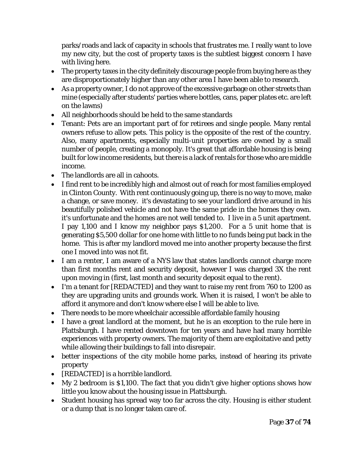parks/roads and lack of capacity in schools that frustrates me. I really want to love my new city, but the cost of property taxes is the subtlest biggest concern I have with living here.

- The property taxes in the city definitely discourage people from buying here as they are disproportionately higher than any other area I have been able to research.
- As a property owner, I do not approve of the excessive garbage on other streets than mine (especially after students' parties where bottles, cans, paper plates etc. are left on the lawns)
- All neighborhoods should be held to the same standards
- Tenant: Pets are an important part of for retirees and single people. Many rental owners refuse to allow pets. This policy is the opposite of the rest of the country. Also, many apartments, especially multi-unit properties are owned by a small number of people, creating a monopoly. It's great that affordable housing is being built for low income residents, but there is a lack of rentals for those who are middle income.
- The landlords are all in cahoots.
- I find rent to be incredibly high and almost out of reach for most families employed in Clinton County. With rent continuously going up, there is no way to move, make a change, or save money. it's devastating to see your landlord drive around in his beautifully polished vehicle and not have the same pride in the homes they own. it's unfortunate and the homes are not well tended to. I live in a 5 unit apartment. I pay 1,100 and I know my neighbor pays \$1,200. For a 5 unit home that is generating \$5,500 dollar for one home with little to no funds being put back in the home. This is after my landlord moved me into another property because the first one I moved into was not fit.
- I am a renter, I am aware of a NYS law that states landlords cannot charge more than first months rent and security deposit, however I was charged 3X the rent upon moving in (first, last month and security deposit equal to the rent).
- I'm a tenant for [REDACTED] and they want to raise my rent from 760 to 1200 as they are upgrading units and grounds work. When it is raised, I won't be able to afford it anymore and don't know where else I will be able to live.
- There needs to be more wheelchair accessible affordable family housing
- I have a great landlord at the moment, but he is an exception to the rule here in Plattsburgh. I have rented downtown for ten years and have had many horrible experiences with property owners. The majority of them are exploitative and petty while allowing their buildings to fall into disrepair.
- better inspections of the city mobile home parks, instead of hearing its private property
- [REDACTED] is a horrible landlord.
- My 2 bedroom is \$1,100. The fact that you didn't give higher options shows how little you know about the housing issue in Plattsburgh.
- Student housing has spread way too far across the city. Housing is either student or a dump that is no longer taken care of.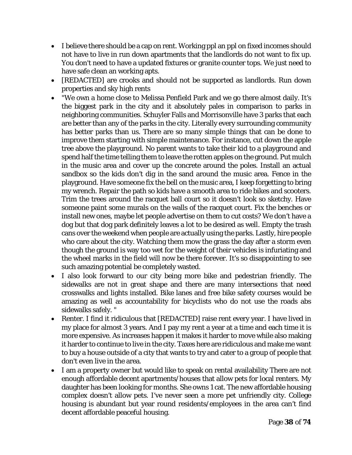- I believe there should be a cap on rent. Working ppl an ppl on fixed incomes should not have to live in run down apartments that the landlords do not want to fix up. You don't need to have a updated fixtures or granite counter tops. We just need to have safe clean an working apts.
- [REDACTED] are crooks and should not be supported as landlords. Run down properties and sky high rents
- "We own a home close to Melissa Penfield Park and we go there almost daily. It's the biggest park in the city and it absolutely pales in comparison to parks in neighboring communities. Schuyler Falls and Morrisonville have 3 parks that each are better than any of the parks in the city. Literally every surrounding community has better parks than us. There are so many simple things that can be done to improve them starting with simple maintenance. For instance, cut down the apple tree above the playground. No parent wants to take their kid to a playground and spend half the time telling them to leave the rotten apples on the ground. Put mulch in the music area and cover up the concrete around the poles. Install an actual sandbox so the kids don't dig in the sand around the music area. Fence in the playground. Have someone fix the bell on the music area, I keep forgetting to bring my wrench. Repair the path so kids have a smooth area to ride bikes and scooters. Trim the trees around the racquet ball court so it doesn't look so sketchy. Have someone paint some murals on the walls of the racquet court. Fix the benches or install new ones, maybe let people advertise on them to cut costs? We don't have a dog but that dog park definitely leaves a lot to be desired as well. Empty the trash cans over the weekend when people are actually using the parks. Lastly, hire people who care about the city. Watching them mow the grass the day after a storm even though the ground is way too wet for the weight of their vehicles is infuriating and the wheel marks in the field will now be there forever. It's so disappointing to see such amazing potential be completely wasted.
- I also look forward to our city being more bike and pedestrian friendly. The sidewalks are not in great shape and there are many intersections that need crosswalks and lights installed. Bike lanes and free bike safety courses would be amazing as well as accountability for bicyclists who do not use the roads abs sidewalks safely. "
- Renter. I find it ridiculous that [REDACTED] raise rent every year. I have lived in my place for almost 3 years. And I pay my rent a year at a time and each time it is more expensive. As increases happen it makes it harder to move while also making it harder to continue to live in the city. Taxes here are ridiculous and make me want to buy a house outside of a city that wants to try and cater to a group of people that don't even live in the area.
- I am a property owner but would like to speak on rental availability There are not enough affordable decent apartments/houses that allow pets for local renters. My daughter has been looking for months. She owns 1 cat. The new affordable housing complex doesn't allow pets. I've never seen a more pet unfriendly city. College housing is abundant but year round residents/employees in the area can't find decent affordable peaceful housing.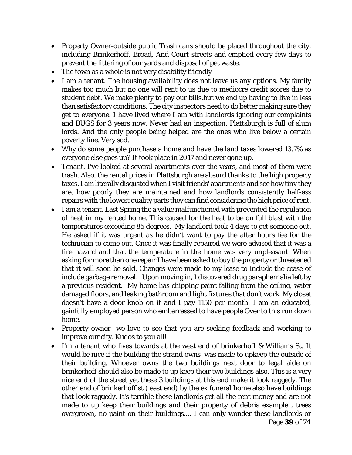- Property Owner-outside public Trash cans should be placed throughout the city, including Brinkerhoff, Broad, And Court streets and emptied every few days to prevent the littering of our yards and disposal of pet waste.
- The town as a whole is not very disability friendly
- I am a tenant. The housing availability does not leave us any options. My family makes too much but no one will rent to us due to mediocre credit scores due to student debt. We make plenty to pay our bills.but we end up having to live in less than satisfactory conditions. The city inspectors need to do better making sure they get to everyone. I have lived where I am with landlords ignoring our complaints and BUGS for 3 years now. Never had an inspection. Plattsburgh is full of slum lords. And the only people being helped are the ones who live below a certain poverty line. Very sad.
- Why do some people purchase a home and have the land taxes lowered 13.7% as everyone else goes up? It took place in 2017 and never gone up.
- Tenant. I've looked at several apartments over the years, and most of them were trash. Also, the rental prices in Plattsburgh are absurd thanks to the high property taxes. I am literally disgusted when I visit friends' apartments and see how tiny they are, how poorly they are maintained and how landlords consistently half-ass repairs with the lowest quality parts they can find considering the high price of rent.
- I am a tenant. Last Spring the a value malfunctioned with prevented the regulation of heat in my rented home. This caused for the heat to be on full blast with the temperatures exceeding 85 degrees. My landlord took 4 days to get someone out. He asked if it was urgent as he didn't want to pay the after hours fee for the technician to come out. Once it was finally repaired we were advised that it was a fire hazard and that the temperature in the home was very unpleasant. When asking for more than one repair I have been asked to buy the property or threatened that it will soon be sold. Changes were made to my lease to include the cease of include garbage removal. Upon moving in, I discovered drug paraphernalia left by a previous resident. My home has chipping paint falling from the ceiling, water damaged floors, and leaking bathroom and light fixtures that don't work. My closet doesn't have a door knob on it and I pay 1150 per month. I am an educated, gainfully employed person who embarrassed to have people Over to this run down home.
- Property owner—we love to see that you are seeking feedback and working to improve our city. Kudos to you all!
- Page **39** of **74** • I'm a tenant who lives towards at the west end of brinkerhoff & Williams St. It would be nice if the building the strand owns was made to upkeep the outside of their building. Whoever owns the two buildings next door to legal aide on brinkerhoff should also be made to up keep their two buildings also. This is a very nice end of the street yet these 3 buildings at this end make it look raggedy. The other end of brinkerhoff st ( east end) by the ex funeral home also have buildings that look raggedy. It's terrible these landlords get all the rent money and are not made to up keep their buildings and their property of debris example , trees overgrown, no paint on their buildings.... I can only wonder these landlords or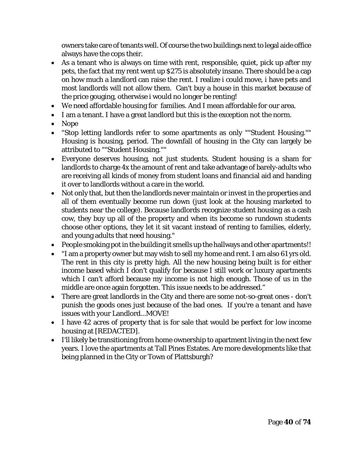owners take care of tenants well. Of course the two buildings next to legal aide office always have the cops their.

- As a tenant who is always on time with rent, responsible, quiet, pick up after my pets, the fact that my rent went up \$275 is absolutely insane. There should be a cap on how much a landlord can raise the rent. I realize i could move, i have pets and most landlords will not allow them. Can't buy a house in this market because of the price gouging, otherwise i would no longer be renting!
- We need affordable housing for families. And I mean affordable for our area.
- I am a tenant. I have a great landlord but this is the exception not the norm.
- Nope
- "Stop letting landlords refer to some apartments as only ""Student Housing."" Housing is housing, period. The downfall of housing in the City can largely be attributed to ""Student Housing.""
- Everyone deserves housing, not just students. Student housing is a sham for landlords to charge 4x the amount of rent and take advantage of barely-adults who are receiving all kinds of money from student loans and financial aid and handing it over to landlords without a care in the world.
- Not only that, but then the landlords never maintain or invest in the properties and all of them eventually become run down (just look at the housing marketed to students near the college). Because landlords recognize student housing as a cash cow, they buy up all of the property and when its become so rundown students choose other options, they let it sit vacant instead of renting to families, elderly, and young adults that need housing."
- People smoking pot in the building it smells up the hallways and other apartments!!
- "I am a property owner but may wish to sell my home and rent. I am also 61 yrs old. The rent in this city is pretty high. All the new housing being built is for either income based which I don't qualify for because I still work or luxury apartments which I can't afford because my income is not high enough. Those of us in the middle are once again forgotten. This issue needs to be addressed."
- There are great landlords in the City and there are some not-so-great ones don't punish the goods ones just because of the bad ones. If you're a tenant and have issues with your Landlord...MOVE!
- I have 42 acres of property that is for sale that would be perfect for low income housing at [REDACTED].
- I'll likely be transitioning from home ownership to apartment living in the next few years. I love the apartments at Tall Pines Estates. Are more developments like that being planned in the City or Town of Plattsburgh?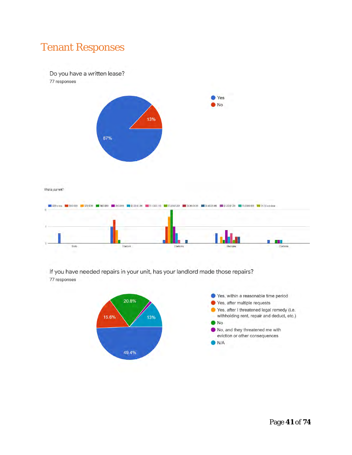# Tenant Responses

Do you have a written lease?

77 responses



What is your rent?



If you have needed repairs in your unit, has your landlord made those repairs? 77 responses

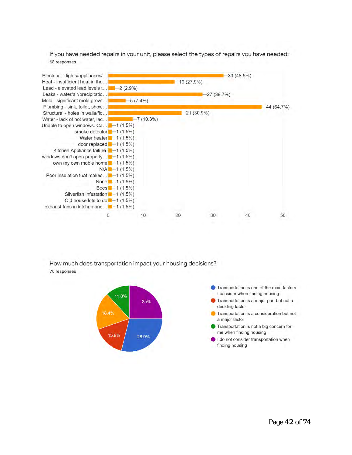If you have needed repairs in your unit, please select the types of repairs you have needed: 68 responses



How much does transportation impact your housing decisions? 76 responses

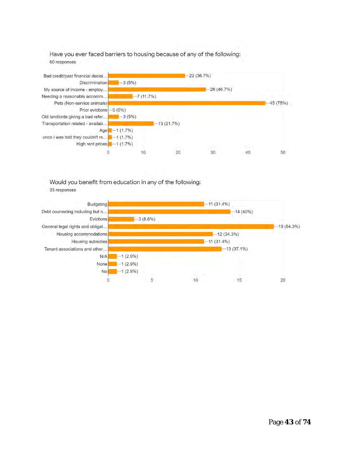Have you ever faced barriers to housing because of any of the following: 60 responses



Would you benefit from education in any of the following:



35 responses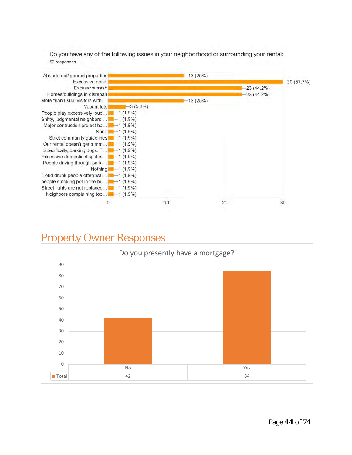Do you have any of the following issues in your neighborhood or surrounding your rental: 52 responses



## Property Owner Responses

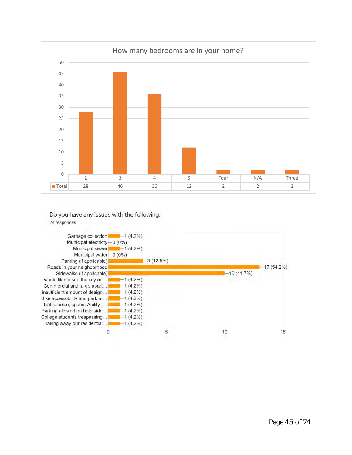

#### Do you have any issues with the following: 24 responses

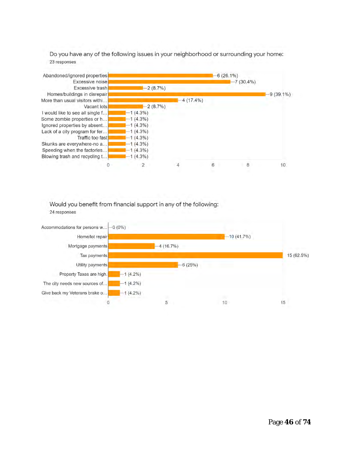Do you have any of the following issues in your neighborhood or surrounding your home: 23 responses



Would you benefit from financial support in any of the following: 24 responses

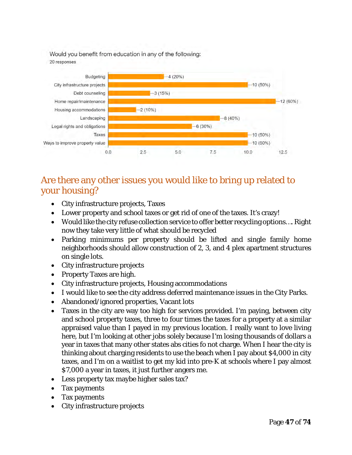Would you benefit from education in any of the following: 20 responses



## Are there any other issues you would like to bring up related to your housing?

- City infrastructure projects, Taxes
- Lower property and school taxes or get rid of one of the taxes. It's crazy!
- Would like the city refuse collection service to offer better recycling options.... Right now they take very little of what should be recycled
- Parking minimums per property should be lifted and single family home neighborhoods should allow construction of 2, 3, and 4 plex apartment structures on single lots.
- City infrastructure projects
- Property Taxes are high.
- City infrastructure projects, Housing accommodations
- I would like to see the city address deferred maintenance issues in the City Parks.
- Abandoned/ignored properties, Vacant lots
- Taxes in the city are way too high for services provided. I'm paying, between city and school property taxes, three to four times the taxes for a property at a similar appraised value than I payed in my previous location. I really want to love living here, but I'm looking at other jobs solely because I'm losing thousands of dollars a year in taxes that many other states abs cities fo not charge. When I hear the city is thinking about charging residents to use the beach when I pay about \$4,000 in city taxes, and I'm on a waitlist to get my kid into pre-K at schools where I pay almost \$7,000 a year in taxes, it just further angers me.
- Less property tax maybe higher sales tax?
- Tax payments
- Tax payments
- City infrastructure projects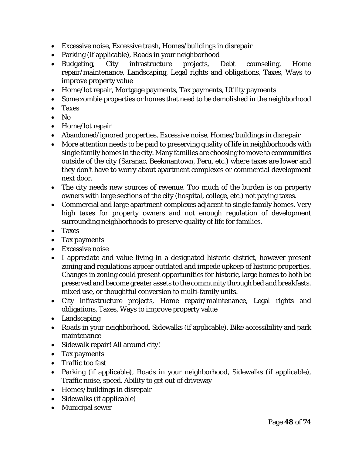- Excessive noise, Excessive trash, Homes/buildings in disrepair
- Parking (if applicable), Roads in your neighborhood
- Budgeting, City infrastructure projects, Debt counseling, Home repair/maintenance, Landscaping, Legal rights and obligations, Taxes, Ways to improve property value
- Home/lot repair, Mortgage payments, Tax payments, Utility payments
- Some zombie properties or homes that need to be demolished in the neighborhood
- Taxes
- No
- Home/lot repair
- Abandoned/ignored properties, Excessive noise, Homes/buildings in disrepair
- More attention needs to be paid to preserving quality of life in neighborhoods with single family homes in the city. Many families are choosing to move to communities outside of the city (Saranac, Beekmantown, Peru, etc.) where taxes are lower and they don't have to worry about apartment complexes or commercial development next door.
- The city needs new sources of revenue. Too much of the burden is on property owners with large sections of the city (hospital, college, etc.) not paying taxes.
- Commercial and large apartment complexes adjacent to single family homes. Very high taxes for property owners and not enough regulation of development surrounding neighborhoods to preserve quality of life for families.
- Taxes
- Tax payments
- Excessive noise
- I appreciate and value living in a designated historic district, however present zoning and regulations appear outdated and impede upkeep of historic properties. Changes in zoning could present opportunities for historic, large homes to both be preserved and become greater assets to the community through bed and breakfasts, mixed use, or thoughtful conversion to multi-family units.
- City infrastructure projects, Home repair/maintenance, Legal rights and obligations, Taxes, Ways to improve property value
- Landscaping
- Roads in your neighborhood, Sidewalks (if applicable), Bike accessibility and park maintenance
- Sidewalk repair! All around city!
- Tax payments
- Traffic too fast
- Parking (if applicable), Roads in your neighborhood, Sidewalks (if applicable), Traffic noise, speed. Ability to get out of driveway
- Homes/buildings in disrepair
- Sidewalks (if applicable)
- Municipal sewer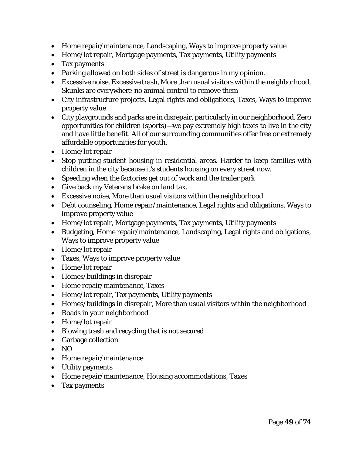- Home repair/maintenance, Landscaping, Ways to improve property value
- Home/lot repair, Mortgage payments, Tax payments, Utility payments
- Tax payments
- Parking allowed on both sides of street is dangerous in my opinion.
- Excessive noise, Excessive trash, More than usual visitors within the neighborhood, Skunks are everywhere-no animal control to remove them
- City infrastructure projects, Legal rights and obligations, Taxes, Ways to improve property value
- City playgrounds and parks are in disrepair, particularly in our neighborhood. Zero opportunities for children (sports)—we pay extremely high taxes to live in the city and have little benefit. All of our surrounding communities offer free or extremely affordable opportunities for youth.
- Home/lot repair
- Stop putting student housing in residential areas. Harder to keep families with children in the city because it's students housing on every street now.
- Speeding when the factories get out of work and the trailer park
- Give back my Veterans brake on land tax.
- Excessive noise, More than usual visitors within the neighborhood
- Debt counseling, Home repair/maintenance, Legal rights and obligations, Ways to improve property value
- Home/lot repair, Mortgage payments, Tax payments, Utility payments
- Budgeting, Home repair/maintenance, Landscaping, Legal rights and obligations, Ways to improve property value
- Home/lot repair
- Taxes, Ways to improve property value
- Home/lot repair
- Homes/buildings in disrepair
- Home repair/maintenance, Taxes
- Home/lot repair, Tax payments, Utility payments
- Homes/buildings in disrepair, More than usual visitors within the neighborhood
- Roads in your neighborhood
- Home/lot repair
- Blowing trash and recycling that is not secured
- Garbage collection
- NO
- Home repair/maintenance
- Utility payments
- Home repair/maintenance, Housing accommodations, Taxes
- Tax payments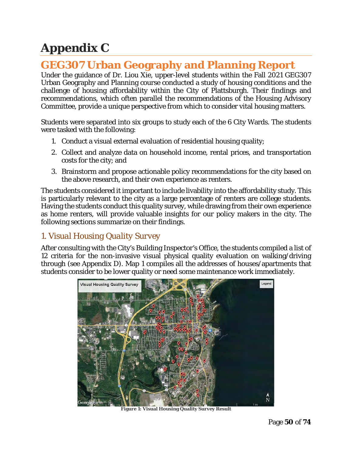# **Appendix C**

# **GEG307 Urban Geography and Planning Report**

Under the guidance of Dr. Liou Xie, upper-level students within the Fall 2021 GEG307 Urban Geography and Planning course conducted a study of housing conditions and the challenge of housing affordability within the City of Plattsburgh. Their findings and recommendations, which often parallel the recommendations of the Housing Advisory Committee, provide a unique perspective from which to consider vital housing matters.

Students were separated into six groups to study each of the 6 City Wards. The students were tasked with the following:

- 1. Conduct a visual external evaluation of residential housing quality;
- 2. Collect and analyze data on household income, rental prices, and transportation costs for the city; and
- 3. Brainstorm and propose actionable policy recommendations for the city based on the above research, and their own experience as renters.

The students considered it important to include livability into the affordability study. This is particularly relevant to the city as a large percentage of renters are college students. Having the students conduct this quality survey, while drawing from their own experience as home renters, will provide valuable insights for our policy makers in the city. The following sections summarize on their findings.

## *1. Visual Housing Quality Survey*

After consulting with the City's Building Inspector's Office, the students compiled a list of 12 criteria for the non-invasive visual physical quality evaluation on walking/driving through (see Appendix D). Map 1 compiles all the addresses of houses/apartments that students consider to be lower quality or need some maintenance work immediately.



**Figure 1: Visual Housing Quality Survey Result**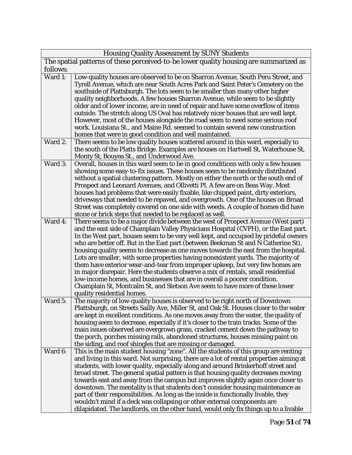| <b>Housing Quality Assessment by SUNY Students</b>                                    |                                                                                                                                                                         |  |
|---------------------------------------------------------------------------------------|-------------------------------------------------------------------------------------------------------------------------------------------------------------------------|--|
| The spatial patterns of these perceived-to-be lower quality housing are summarized as |                                                                                                                                                                         |  |
| follows:                                                                              |                                                                                                                                                                         |  |
| Ward 1:                                                                               | Low-quality houses are observed to be on Sharron Avenue, South Peru Street, and                                                                                         |  |
|                                                                                       | Tyrell Avenue, which are near South Acres Park and Saint Peter's Cemetery on the                                                                                        |  |
|                                                                                       | southside of Plattsburgh. The lots seem to be smaller than many other higher                                                                                            |  |
|                                                                                       | quality neighborhoods. A few houses Sharron Avenue, while seem to be slightly                                                                                           |  |
|                                                                                       | older and of lower income, are in need of repair and have some overflow of items                                                                                        |  |
|                                                                                       | outside. The stretch along US Oval has relatively nicer houses that are well kept.                                                                                      |  |
|                                                                                       | However, most of the houses alongside the road seem to need some serious roof                                                                                           |  |
|                                                                                       | work. Louisiana St., and Maine Rd. seemed to contain several new construction                                                                                           |  |
|                                                                                       | homes that were in good condition and well maintained.                                                                                                                  |  |
| Ward $2:$                                                                             | There seems to be low quality houses scattered around in this ward, especially to                                                                                       |  |
|                                                                                       | the south of the Platts Bridge. Examples are houses on Hartwell St, Waterhouse St,                                                                                      |  |
|                                                                                       | Monty St, Bouyea St., and Underwood Ave.                                                                                                                                |  |
| Ward 3:                                                                               | Overall, houses in this ward seem to be in good conditions with only a few houses                                                                                       |  |
|                                                                                       | showing some easy-to-fix issues. These houses seem to be randomly distributed                                                                                           |  |
|                                                                                       | without a spatial clustering pattern. Mostly on either the north or the south end of                                                                                    |  |
|                                                                                       | Prospect and Leonard Avenues, and Ollivetti Pl. A few are on Beas Way. Most                                                                                             |  |
|                                                                                       | houses had problems that were easily fixable, like chipped paint, dirty exteriors,                                                                                      |  |
|                                                                                       | driveways that needed to be repaved, and overgrowth. One of the houses on Broad                                                                                         |  |
|                                                                                       | Street was completely covered on one side with weeds. A couple of homes did have                                                                                        |  |
| Ward 4:                                                                               | stone or brick steps that needed to be replaced as well.                                                                                                                |  |
|                                                                                       | There seems to be a major divide between the west of Prospect Avenue (West part)<br>and the east side of Champlain Valley Physicians Hospital (CVPH), or the East part. |  |
|                                                                                       | In the West part, houses seem to be very well kept, and occupied by prideful owners                                                                                     |  |
|                                                                                       | who are better off. But in the East part (between Beekman St and N Catherine St),                                                                                       |  |
|                                                                                       | housing quality seems to decrease as one moves towards the east from the hospital.                                                                                      |  |
|                                                                                       | Lots are smaller, with some properties having nonexistent yards. The majority of                                                                                        |  |
|                                                                                       | them have exterior wear-and-tear from improper upkeep, but very few homes are                                                                                           |  |
|                                                                                       | in major disrepair. Here the students observe a mix of rentals, small residential                                                                                       |  |
|                                                                                       | low-income homes, and businesses that are in overall a poorer condition.                                                                                                |  |
|                                                                                       | Champlain St, Montcalm St, and Stetson Ave seem to have more of these lower                                                                                             |  |
|                                                                                       | quality residential homes.                                                                                                                                              |  |
| Ward 5:                                                                               | The majority of low-quality houses is observed to be right north of Downtown                                                                                            |  |
|                                                                                       | Plattsburgh, on Streets Sailly Ave, Miller St, and Oak St. Houses closer to the water                                                                                   |  |
|                                                                                       | are kept in excellent conditions. As one moves away from the water, the quality of                                                                                      |  |
|                                                                                       | housing seem to decrease, especially if it's closer to the train tracks. Some of the                                                                                    |  |
|                                                                                       | main issues observed are overgrown grass, cracked cement down the pathway to                                                                                            |  |
|                                                                                       | the porch, porches missing rails, abandoned structures, houses missing paint on                                                                                         |  |
|                                                                                       | the siding, and roof shingles that are missing or damaged.                                                                                                              |  |
| Ward 6:                                                                               | This is the main student housing "zone". All the students of this group are renting                                                                                     |  |
|                                                                                       | and living in this ward. Not surprising, there are a lot of rental properties aiming at                                                                                 |  |
|                                                                                       | students, with lower quality, especially along and around Brinkerhoff street and                                                                                        |  |
|                                                                                       | broad street. The general spatial pattern is that housing quality decreases moving                                                                                      |  |
|                                                                                       | towards east and away from the campus but improves slightly again once closer to<br>downtown. The mentality is that students don't consider housing maintenance as      |  |
|                                                                                       | part of their responsibilities. As long as the inside is functionally livable, they                                                                                     |  |
|                                                                                       | wouldn't mind if a deck was collapsing or other external components are                                                                                                 |  |
|                                                                                       | dilapidated. The landlords, on the other hand, would only fix things up to a livable                                                                                    |  |
|                                                                                       |                                                                                                                                                                         |  |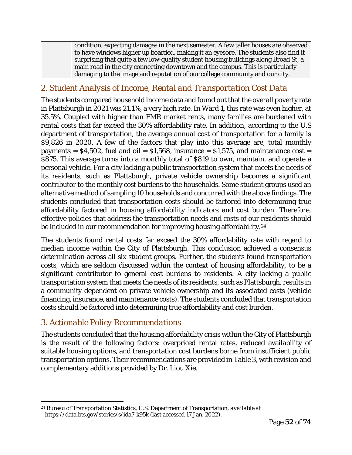condition, expecting damages in the next semester. A few taller houses are observed to have windows higher up boarded, making it an eyesore. The students also find it surprising that quite a few low-quality student housing buildings along Broad St, a main road in the city connecting downtown and the campus. This is particularly damaging to the image and reputation of our college community and our city.

## *2. Student Analysis of Income, Rental and Transportation Cost Data*

The students compared household income data and found out that the overall poverty rate in Plattsburgh in 2021 was 21.1%, a very high rate. In Ward 1, this rate was even higher, at 35.5%. Coupled with higher than FMR market rents, many families are burdened with rental costs that far exceed the 30% affordability rate. In addition, according to the U.S department of transportation, the average annual cost of transportation for a family is \$9,826 in 2020. A few of the factors that play into this average are, total monthly payments =  $$4,502$ , fuel and oil =  $$1,568$ , insurance =  $$1,575$ , and maintenance cost = \$875. This average turns into a monthly total of \$819 to own, maintain, and operate a personal vehicle. For a city lacking a public transportation system that meets the needs of its residents, such as Plattsburgh, private vehicle ownership becomes a significant contributor to the monthly cost burdens to the households. Some student groups used an alternative method of sampling 10 households and concurred with the above findings. The students concluded that transportation costs should be factored into determining true affordability factored in housing affordability indicators and cost burden. Therefore, effective policies that address the transportation needs and costs of our residents should be included in our recommendation for improving housing affordability.<sup>[24](#page-51-0)</sup>

The students found rental costs far exceed the 30% affordability rate with regard to median income within the City of Plattsburgh. This conclusion achieved a consensus determination across all six student groups. Further, the students found transportation costs, which are seldom discussed within the context of housing affordability, to be a significant contributor to general cost burdens to residents. A city lacking a public transportation system that meets the needs of its residents, such as Plattsburgh, results in a community dependent on private vehicle ownership and its associated costs (vehicle financing, insurance, and maintenance costs). The students concluded that transportation costs should be factored into determining true affordability and cost burden.

## *3. Actionable Policy Recommendations*

The students concluded that the housing affordability crisis within the City of Plattsburgh is the result of the following factors: overpriced rental rates, reduced availability of suitable housing options, and transportation cost burdens borne from insufficient public transportation options. Their recommendations are provided in Table 3, with revision and complementary additions provided by Dr. Liou Xie.

<span id="page-51-0"></span> $\overline{a}$ <sup>24</sup> Bureau of Transportation Statistics, U.S. Department of Transportation, *available at*  https://data.bts.gov/stories/s/ida7-k95k (last accessed 17 Jan. 2022).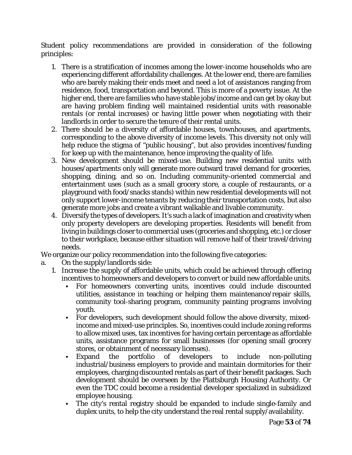Student policy recommendations are provided in consideration of the following principles:

- 1. There is a stratification of incomes among the lower-income households who are experiencing different affordability challenges. At the lower end, there are families who are barely making their ends meet and need a lot of assistances ranging from residence, food, transportation and beyond. This is more of a poverty issue. At the higher end, there are families who have stable jobs/income and can get by okay but are having problem finding well maintained residential units with reasonable rentals (or rental increases) or having little power when negotiating with their landlords in order to secure the tenure of their rental units.
- 2. There should be a diversity of affordable houses, townhouses, and apartments, corresponding to the above diversity of income levels. This diversity not only will help reduce the stigma of "public housing", but also provides incentives/funding for keep up with the maintenance, hence improving the quality of life.
- 3. New development should be mixed-use. Building new residential units with houses/apartments only will generate more outward travel demand for groceries, shopping, dining, and so on. Including community-oriented commercial and entertainment uses (such as a small grocery store, a couple of restaurants, or a playground with food/snacks stands) within new residential developments will not only support lower-income tenants by reducing their transportation costs, but also generate more jobs and create a vibrant walkable and livable community.
- 4. Diversify the types of developers. It's such a lack of imagination and creativity when only property developers are developing properties. Residents will benefit from living in buildings closer to commercial uses (groceries and shopping, etc.) or closer to their workplace, because either situation will remove half of their travel/driving needs.

We organize our policy recommendation into the following five categories:

- a. On the supply/landlords side:
	- 1. Increase the supply of affordable units, which could be achieved through offering incentives to homeowners and developers to convert or build new affordable units.
		- For homeowners converting units, incentives could include discounted utilities, assistance in teaching or helping them maintenance/repair skills, community tool-sharing program, community painting programs involving youth.
		- For developers, such development should follow the above diversity, mixedincome and mixed-use principles. So, incentives could include zoning reforms to allow mixed uses, tax incentives for having certain percentage as affordable units, assistance programs for small businesses (for opening small grocery stores, or obtainment of necessary licenses).
		- Expand the portfolio of developers to include non-polluting industrial/business employers to provide and maintain dormitories for their employees, charging discounted rentals as part of their benefit packages. Such development should be overseen by the Plattsburgh Housing Authority. Or even the TDC could become a residential developer specialized in subsidized employee housing.
		- The city's rental registry should be expanded to include single-family and duplex units, to help the city understand the real rental supply/availability.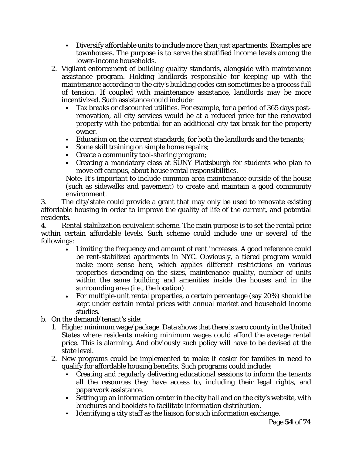- Diversify affordable units to include more than just apartments. Examples are townhouses. The purpose is to serve the stratified income levels among the lower-income households.
- 2. Vigilant enforcement of building quality standards, alongside with maintenance assistance program. Holding landlords responsible for keeping up with the maintenance according to the city's building codes can sometimes be a process full of tension. If coupled with maintenance assistance, landlords may be more incentivized. Such assistance could include:
	- Tax breaks or discounted utilities. For example, for a period of 365 days postrenovation, all city services would be at a reduced price for the renovated property with the potential for an additional city tax break for the property owner.
	- Education on the current standards, for both the landlords and the tenants;
	- Some skill training on simple home repairs;
	- Create a community tool-sharing program;
	- Creating a mandatory class at SUNY Plattsburgh for students who plan to move off campus, about house rental responsibilities.

Note: It's important to include common area maintenance outside of the house (such as sidewalks and pavement) to create and maintain a good community environment.

3. The city/state could provide a grant that may only be used to renovate existing affordable housing in order to improve the quality of life of the current, and potential residents.

4. Rental stabilization equivalent scheme. The main purpose is to set the rental price within certain affordable levels. Such scheme could include one or several of the followings:

- Limiting the frequency and amount of rent increases. A good reference could be rent-stabilized apartments in NYC. Obviously, a tiered program would make more sense here, which applies different restrictions on various properties depending on the sizes, maintenance quality, number of units within the same building and amenities inside the houses and in the surrounding area (i.e., the location).
- For multiple-unit rental properties, a certain percentage (say 20%) should be kept under certain rental prices with annual market and household income studies.
- b. On the demand/tenant's side:
	- 1. Higher minimum wage/package. Data shows that there is zero county in the United States where residents making minimum wages could afford the average rental price. This is alarming. And obviously such policy will have to be devised at the state level.
	- 2. New programs could be implemented to make it easier for families in need to qualify for affordable housing benefits. Such programs could include:
		- Creating and regularly delivering educational sessions to inform the tenants all the resources they have access to, including their legal rights, and paperwork assistance.
		- Setting up an information center in the city hall and on the city's website, with brochures and booklets to facilitate information distribution.
		- Identifying a city staff as the liaison for such information exchange.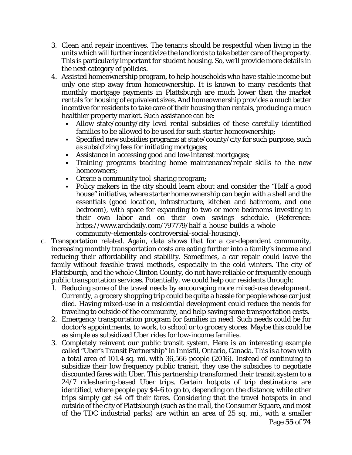- 3. Clean and repair incentives. The tenants should be respectful when living in the units which will further incentivize the landlords to take better care of the property. This is particularly important for student housing. So, we'll provide more details in the next category of policies.
- 4. Assisted homeownership program, to help households who have stable income but only one step away from homeownership. It is known to many residents that monthly mortgage payments in Plattsburgh are much lower than the market rentals for housing of equivalent sizes. And homeownership provides a much better incentive for residents to take care of their housing than rentals, producing a much healthier property market. Such assistance can be:
	- Allow state/county/city level rental subsidies of these carefully identified families to be allowed to be used for such starter homeownership;
	- Specified new subsidies programs at state/county/city for such purpose, such as subsidizing fees for initiating mortgages;
	- Assistance in accessing good and low-interest mortgages;
	- Training programs teaching home maintenance/repair skills to the new homeowners;
	- Create a community tool-sharing program;
	- Policy makers in the city should learn about and consider the "Half a good house" initiative, where starter homeownership can begin with a shell and the essentials (good location, infrastructure, kitchen and bathroom, and one bedroom), with space for expanding to two or more bedrooms investing in their own labor and on their own savings schedule. (Reference: https://www.archdaily.com/797779/half-a-house-builds-a-wholecommunity-elementals-controversial-social-housing).
- c. Transportation related. Again, data shows that for a car-dependent community, increasing monthly transportation costs are eating further into a family's income and reducing their affordability and stability. Sometimes, a car repair could leave the family without feasible travel methods, especially in the cold winters. The city of Plattsburgh, and the whole Clinton County, do not have reliable or frequently enough public transportation services. Potentially, we could help our residents through:
	- 1. Reducing some of the travel needs by encouraging more mixed-use development. Currently, a grocery shopping trip could be quite a hassle for people whose car just died. Having mixed-use in a residential development could reduce the needs for traveling to outside of the community, and help saving some transportation costs.
	- 2. Emergency transportation program for families in need. Such needs could be for doctor's appointments, to work, to school or to grocery stores. Maybe this could be as simple as subsidized Uber rides for low-income families.
	- 3. Completely reinvent our public transit system. Here is an interesting example called "Uber's Transit Partnership" in Innisfil, Ontario, Canada. This is a town with a total area of 101.4 sq. mi. with 36,566 people (2016). Instead of continuing to subsidize their low frequency public transit, they use the subsidies to negotiate discounted fares with Uber. This partnership transformed their transit system to a 24/7 ridesharing-based Uber trips. Certain hotpots of trip destinations are identified, where people pay \$4-6 to go to, depending on the distance; while other trips simply get \$4 off their fares. Considering that the travel hotspots in and outside of the city of Plattsburgh (such as the mall, the Consumer Square, and most of the TDC industrial parks) are within an area of 25 sq. mi., with a smaller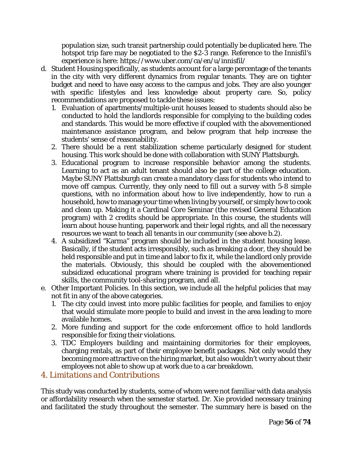population size, such transit partnership could potentially be duplicated here. The hotspot trip fare may be negotiated to the \$2-3 range. Reference to the Innisfil's experience is here: https://www.uber.com/ca/en/u/innisfil/

- d. Student Housing specifically, as students account for a large percentage of the tenants in the city with very different dynamics from regular tenants. They are on tighter budget and need to have easy access to the campus and jobs. They are also younger with specific lifestyles and less knowledge about property care. So, policy recommendations are proposed to tackle these issues:
	- 1. Evaluation of apartments/multiple-unit houses leased to students should also be conducted to hold the landlords responsible for complying to the building codes and standards. This would be more effective if coupled with the abovementioned maintenance assistance program, and below program that help increase the students' sense of reasonability.
	- 2. There should be a rent stabilization scheme particularly designed for student housing. This work should be done with collaboration with SUNY Plattsburgh.
	- 3. Educational program to increase responsible behavior among the students. Learning to act as an adult tenant should also be part of the college education. Maybe SUNY Plattsburgh can create a mandatory class for students who intend to move off campus. Currently, they only need to fill out a survey with 5-8 simple questions, with no information about how to live independently, how to run a household, how to manage your time when living by yourself, or simply how to cook and clean up. Making it a Cardinal Core Seminar (the revised General Education program) with 2 credits should be appropriate. In this course, the students will learn about house hunting, paperwork and their legal rights, and all the necessary resources we want to teach all tenants in our community (see above b.2).
	- 4. A subsidized "Karma" program should be included in the student housing lease. Basically, if the student acts irresponsibly, such as breaking a door, they should be held responsible and put in time and labor to fix it, while the landlord only provide the materials. Obviously, this should be coupled with the abovementioned subsidized educational program where training is provided for teaching repair skills, the community tool-sharing program, and all.
- e. Other Important Policies. In this section, we include all the helpful policies that may not fit in any of the above categories.
	- 1. The city could invest into more public facilities for people, and families to enjoy that would stimulate more people to build and invest in the area leading to more available homes.
	- 2. More funding and support for the code enforcement office to hold landlords responsible for fixing their violations.
	- 3. TDC Employers building and maintaining dormitories for their employees, charging rentals, as part of their employee benefit packages. Not only would they becoming more attractive on the hiring market, but also wouldn't worry about their employees not able to show up at work due to a car breakdown.

## *4. Limitations and Contributions*

This study was conducted by students, some of whom were not familiar with data analysis or affordability research when the semester started. Dr. Xie provided necessary training and facilitated the study throughout the semester. The summary here is based on the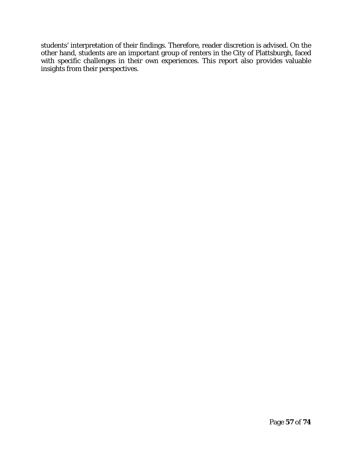students' interpretation of their findings. Therefore, reader discretion is advised. On the other hand, students are an important group of renters in the City of Plattsburgh, faced with specific challenges in their own experiences. This report also provides valuable insights from their perspectives.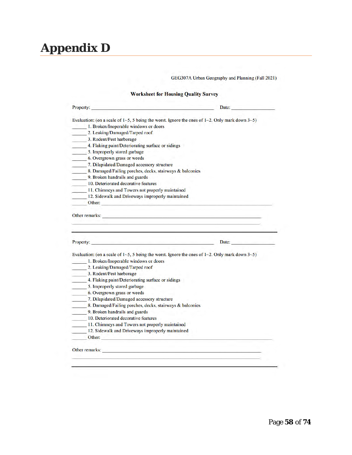# **Appendix D**

GEG307A Urban Geography and Planning (Fall 2021)

#### **Worksheet for Housing Quality Survey**

| Property:                                                                                           | Date: The Company of the Company of the Company of the Company of the Company of the Company of the Company of the Company of the Company of the Company of the Company of the Company of the Company of the Company of the Co                         |
|-----------------------------------------------------------------------------------------------------|--------------------------------------------------------------------------------------------------------------------------------------------------------------------------------------------------------------------------------------------------------|
|                                                                                                     | Evaluation: (on a scale of $1-5$ , 5 being the worst. Ignore the ones of $1-2$ . Only mark down $3-5$ )                                                                                                                                                |
| 1. Broken/Inoperable windows or doors                                                               |                                                                                                                                                                                                                                                        |
| 2. Leaking/Damaged/Tarped roof                                                                      |                                                                                                                                                                                                                                                        |
| 3. Rodent/Pest harborage                                                                            |                                                                                                                                                                                                                                                        |
| 4. Flaking paint/Deteriorating surface or sidings                                                   |                                                                                                                                                                                                                                                        |
| 5. Improperly stored garbage                                                                        |                                                                                                                                                                                                                                                        |
| 6. Overgrown grass or weeds                                                                         |                                                                                                                                                                                                                                                        |
| 7. Dilapidated/Damaged accessory structure                                                          |                                                                                                                                                                                                                                                        |
| 8. Damaged/Failing porches, decks, stairways & balconies                                            |                                                                                                                                                                                                                                                        |
| 9. Broken handrails and guards                                                                      |                                                                                                                                                                                                                                                        |
| 10. Deteriorated decorative features                                                                |                                                                                                                                                                                                                                                        |
| 11. Chimneys and Towers not properly maintained                                                     |                                                                                                                                                                                                                                                        |
| 12. Sidewalk and Driveways improperly maintained                                                    |                                                                                                                                                                                                                                                        |
|                                                                                                     |                                                                                                                                                                                                                                                        |
| Other:                                                                                              |                                                                                                                                                                                                                                                        |
|                                                                                                     | Other remarks: New York Changes and School Changes and School Changes and School Changes and School Changes and School Changes and School Changes and School Changes and School Changes and School Changes and School Changes<br>Property: Date: Date: |
|                                                                                                     |                                                                                                                                                                                                                                                        |
|                                                                                                     | Evaluation: (on a scale of $1\text{-}5$ , 5 being the worst. Ignore the ones of $1\text{-}2$ . Only mark down $3\text{-}5$ )                                                                                                                           |
| 1. Broken/Inoperable windows or doors                                                               |                                                                                                                                                                                                                                                        |
| 2. Leaking/Damaged/Tarped roof                                                                      |                                                                                                                                                                                                                                                        |
| 3. Rodent/Pest harborage                                                                            |                                                                                                                                                                                                                                                        |
| 4. Flaking paint/Deteriorating surface or sidings                                                   |                                                                                                                                                                                                                                                        |
| 5. Improperly stored garbage                                                                        |                                                                                                                                                                                                                                                        |
| 6. Overgrown grass or weeds                                                                         |                                                                                                                                                                                                                                                        |
| 7. Dilapidated/Damaged accessory structure                                                          |                                                                                                                                                                                                                                                        |
| 8. Damaged/Failing porches, decks, stairways & balconies                                            |                                                                                                                                                                                                                                                        |
| 9. Broken handrails and guards                                                                      |                                                                                                                                                                                                                                                        |
| 10. Deteriorated decorative features                                                                |                                                                                                                                                                                                                                                        |
| 11. Chimneys and Towers not properly maintained<br>12. Sidewalk and Driveways improperly maintained |                                                                                                                                                                                                                                                        |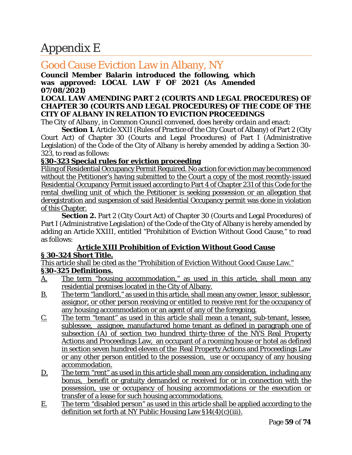# Appendix E

## Good Cause Eviction Law in Albany, NY

#### **Council Member Balarin introduced the following, which was approved: LOCAL LAW F OF 2021 (***As Amended 07/08/2021)*

#### **LOCAL LAW AMENDING PART 2 (COURTS AND LEGAL PROCEDURES) OF CHAPTER 30 (COURTS AND LEGAL PROCEDURES) OF THE CODE OF THE CITY OF ALBANY IN RELATION TO EVICTION PROCEEDINGS**

*The City of Albany, in Common Council convened, does hereby ordain and enact:*

**Section 1.** Article XXII (Rules of Practice of the City Court of Albany) of Part 2 (City Court Act) of Chapter 30 (Courts and Legal Procedures) of Part I (Administrative Legislation) of the Code of the City of Albany is hereby amended by adding a Section 30- 323, to read as follows:

#### **§30-323 Special rules for eviction proceeding**

Filing of Residential Occupancy Permit Required. No action for eviction may be commenced without the Petitioner's having submitted to the Court a copy of the most recently-issued Residential Occupancy Permit issued according to Part 4 of Chapter 231 of this Code for the rental dwelling unit of which the Petitioner is seeking possession or an allegation that deregistration and suspension of said Residential Occupancy permit was done in violation of this Chapter.

**Section 2.** Part 2 (City Court Act) of Chapter 30 (Courts and Legal Procedures) of Part I (Administrative Legislation) of the Code of the City of Albany is hereby amended by adding an Article XXIII, entitled "Prohibition of Eviction Without Good Cause," to read as follows:

#### **Article XIII Prohibition of Eviction Without Good Cause § 30-324 Short Title.**

This article shall be cited as the "Prohibition of Eviction Without Good Cause Law." **§30-325 Definitions.**

- A. The term "housing accommodation," as used in this article, shall mean any residential premises located in the City of Albany.
- B. The term "landlord," as used in this article, shall mean any owner, lessor, sublessor, assignor, or other person receiving or entitled to receive rent for the occupancy of any housing accommodation or an agent of any of the foregoing.
- C. The term "tenant" as used in this article shall mean a tenant, sub-tenant, lessee, sublessee, assignee, manufactured home tenant as defined in paragraph one of subsection (A) of section two hundred thirty-three of the NYS Real Property Actions and Proceedings Law, an occupant of a rooming house or hotel as defined in section seven hundred eleven of the Real Property Actions and Proceedings Law or any other person entitled to the possession, use or occupancy of any housing accommodation.
- D. The term "rent" as used in this article shall mean any consideration, including any bonus, benefit or gratuity demanded or received for or in connection with the possession, use or occupancy of housing accommodations or the execution or transfer of a lease for such housing accommodations.
- E. The term "disabled person" as used in this article shall be applied according to the definition set forth at NY Public Housing Law  $$14(4)(c)(iii)$ .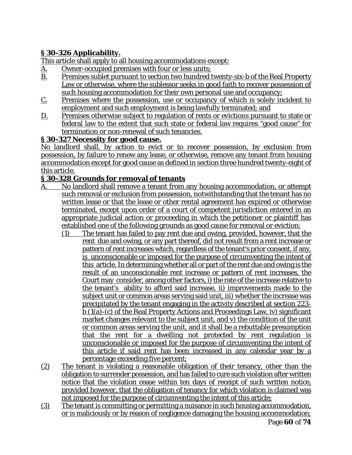### **§ 30-326 Applicability.**

This article shall apply to all housing accommodations except:

- A. Owner-occupied premises with four or less units;
- B. Premises sublet pursuant to section two hundred twenty-six-b of the Real Property Law or otherwise, where the sublessor seeks in good faith to recover possession of such housing accommodation for their own personal use and occupancy;
- C. Premises where the possession, use or occupancy of which is solely incident to employment and such employment is being lawfully terminated; and
- D. Premises otherwise subject to regulation of rents or evictions pursuant to state or federal law to the extent that such state or federal law requires "good cause" for termination or non-renewal of such tenancies.

#### **§ 30-327 Necessity for good cause.**

No landlord shall, by action to evict or to recover possession, by exclusion from possession, by failure to renew any lease, or otherwise, remove any tenant from housing accommodation except for good cause as defined in section three hundred twenty-eight of this article.

#### **§ 30-328 Grounds for removal of tenants**

- A. No landlord shall remove a tenant from any housing accommodation, or attempt such removal or exclusion from possession, notwithstanding that the tenant has no written lease or that the lease or other rental agreement has expired or otherwise terminated, except upon order of a court of competent jurisdiction entered in an appropriate judicial action or proceeding in which the petitioner or plaintiff has established one of the following grounds as good cause for removal or eviction:
	- (1) The tenant has failed to pay rent due and owing, provided, however, that the rent due and owing, or any part thereof, did not result from a rent increase or pattern of rent increases which, regardless of the tenant's prior consent, if any, is unconscionable or imposed for the purpose of circumventing the intent of this article. In determining whether all or part of the rent due and owing is the result of an unconscionable rent increase or pattern of rent increases, the Court may consider, among other factors, i) the rate of the increase relative to the tenant's ability to afford said increase, ii) improvements made to the subject unit or common areas serving said unit, iii) whether the increase was precipitated by the tenant engaging in the activity described at section 223 b (1(a)-(c) of the Real Property Actions and Proceedings Law, iv) significant market changes relevant to the subject unit, and v) the condition of the unit or common areas serving the unit, and it shall be a rebuttable presumption that the rent for a dwelling not protected by rent regulation is unconscionable or imposed for the purpose of circumventing the intent of this article if said rent has been increased in any calendar year by a percentage exceeding five percent;
- (2) The tenant is violating a reasonable obligation of their tenancy, other than the obligation to surrender possession, and has failed to cure such violation after written notice that the violation cease within ten days of receipt of such written notice, provided however, that the obligation of tenancy for which violation is claimed was not imposed for the purpose of circumventing the intent of this article;
- Page **60** of **74** (3) The tenant is committing or permitting a nuisance in such housing accommodation, or is maliciously or by reason of negligence damaging the housing accommodation;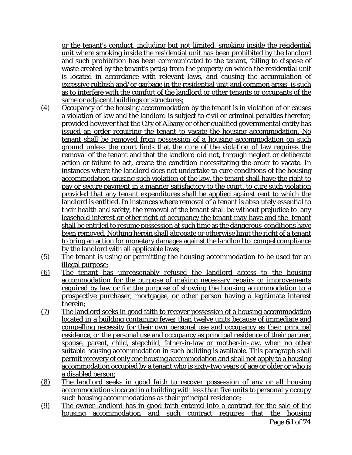or the tenant's conduct, including but not limited, smoking inside the residential unit where smoking inside the residential unit has been prohibited by the landlord and such prohibition has been communicated to the tenant, failing to dispose of waste created by the tenant's pet(s) from the property on which the residential unit is located in accordance with relevant laws, and causing the accumulation of excessive rubbish and/or garbage in the residential unit and common areas, is such as to interfere with the comfort of the landlord or other tenants or occupants of the same or adjacent buildings or structures;

- (4) Occupancy of the housing accommodation by the tenant is in violation of or causes a violation of law and the landlord is subject to civil or criminal penalties therefor; provided however that the City of Albany or other qualified governmental entity has issued an order requiring the tenant to vacate the housing accommodation. No tenant shall be removed from possession of a housing accommodation on such ground unless the court finds that the cure of the violation of law requires the removal of the tenant and that the landlord did not, through neglect or deliberate action or failure to act, create the condition necessitating the order to vacate. In instances where the landlord does not undertake to cure conditions of the housing accommodation causing such violation of the law, the tenant shall have the right to pay or secure payment in a manner satisfactory to the court, to cure such violation provided that any tenant expenditures shall be applied against rent to which the landlord is entitled. In instances where removal of a tenant is absolutely essential to their health and safety, the removal of the tenant shall be without prejudice to any leasehold interest or other right of occupancy the tenant may have and the tenant shall be entitled to resume possession at such time as the dangerous conditions have been removed. Nothing herein shall abrogate or otherwise limit the right of a tenant to bring an action for monetary damages against the landlord to compel compliance by the landlord with all applicable laws;
- (5) The tenant is using or permitting the housing accommodation to be used for an illegal purpose;
- (6) The tenant has unreasonably refused the landlord access to the housing accommodation for the purpose of making necessary repairs or improvements required by law or for the purpose of showing the housing accommodation to a prospective purchaser, mortgagee, or other person having a legitimate interest therein;
- (7) The landlord seeks in good faith to recover possession of a housing accommodation located in a building containing fewer than twelve units because of immediate and compelling necessity for their own personal use and occupancy as their principal residence, or the personal use and occupancy as principal residence of their partner, spouse, parent, child, stepchild, father-in-law or mother-in-law, when no other suitable housing accommodation in such building is available. This paragraph shall permit recovery of only one housing accommodation and shall not apply to a housing accommodation occupied by a tenant who is sixty-two years of age or older or who is a disabled person;
- (8) The landlord seeks in good faith to recover possession of any or all housing accommodations located in a building with less than five units to personally occupy such housing accommodations as their principal residence;
- Page **61** of **74** (9) The owner*-*landlord has in good faith entered into a contract for the sale of the housing accommodation and such contract requires that the housing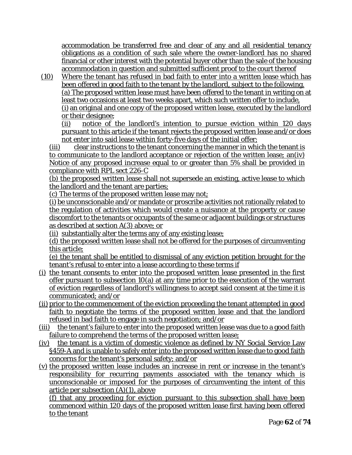accommodation be transferred free and clear of any and all residential tenancy obligations as a condition of such sale where the owner-landlord has no shared financial or other interest with the potential buyer other than the sale of the housing accommodation in question and submitted sufficient proof to the court thereof

(10) Where the tenant has refused in bad faith to enter into a written lease which has been offered in good faith to the tenant by the landlord, subject to the following. (a) The proposed written lease must have been offered to the tenant in writing on at least two occasions at least two weeks apart, which such written offer to include, (i) an original and one copy of the proposed written lease, executed by the landlord or their designee;

(ii) notice of the landlord's intention to pursue eviction within 120 days pursuant to this article if the tenant rejects the proposed written lease and/or does not enter into said lease within forty-five days of the initial offer;

(iii) clear instructions to the tenant concerning the manner in which the tenant is to communicate to the landlord acceptance or rejection of the written lease; an(iv) Notice of any proposed increase equal to or greater than 5% shall be provided in compliance with RPL sect 226-C

(b) the proposed written lease shall not supersede an existing, active lease to which the landlord and the tenant are parties;

(c) The terms of the proposed written lease may not;

(i) be unconscionable and/or mandate or proscribe activities not rationally related to the regulation of activities which would create a nuisance at the property or cause discomfort to the tenants or occupants of the same or adjacent buildings or structures as described at section A(3) above; or

(ii) substantially alter the terms any of any existing lease;

(d) the proposed written lease shall not be offered for the purposes of circumventing this article;

(e) the tenant shall be entitled to dismissal of any eviction petition brought for the tenant's refusal to enter into a lease according to these terms if

- (i) the tenant consents to enter into the proposed written lease presented in the first offer pursuant to subsection 10(a) at any time prior to the execution of the warrant of eviction regardless of landlord's willingness to accept said consent at the time it is communicated; and/or
- (ii) prior to the commencement of the eviction proceeding the tenant attempted in good faith to negotiate the terms of the proposed written lease and that the landlord refused in bad faith to engage in such negotiation; and/or
- (iii) the tenant's failure to enter into the proposed written lease was due to a good faith failure to comprehend the terms of the proposed written lease;
- (iv) the tenant is a victim of domestic violence as defined by NY Social Service Law §459-A and is unable to safely enter into the proposed written lease due to good faith concerns for the tenant's personal safety; and/or
- (v) the proposed written lease includes an increase in rent or increase in the tenant's responsibility for recurring payments associated with the tenancy which is unconscionable or imposed for the purposes of circumventing the intent of this article per subsection (A)(1), above

(f) that any proceeding for eviction pursuant to this subsection shall have been commenced within 120 days of the proposed written lease first having been offered to the tenant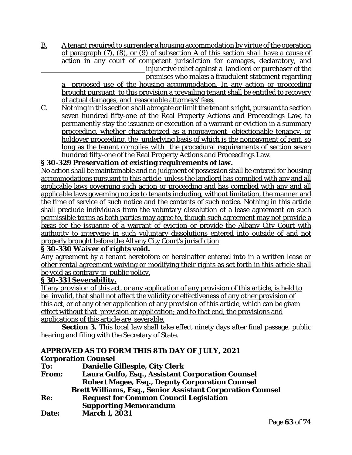B. A tenant required to surrender a housing accommodation by virtue of the operation of paragraph (7), (8), or (9) of subsection A of this section shall have a cause of action in any court of competent jurisdiction for damages, declaratory, and injunctive relief against a landlord or purchaser of the

premises who makes a fraudulent statement regarding a proposed use of the housing accommodation. In any action or proceeding brought pursuant to this provision a prevailing tenant shall be entitled to recovery of actual damages, and reasonable attorneys' fees.

C. Nothing in this section shall abrogate or limit the tenant's right, pursuant to section seven hundred fifty-one of the Real Property Actions and Proceedings Law, to permanently stay the issuance or execution of a warrant or eviction in a summary proceeding, whether characterized as a nonpayment, objectionable tenancy, or holdover proceeding, the underlying basis of which is the nonpayment of rent, so long as the tenant complies with the procedural requirements of section seven hundred fifty-one of the Real Property Actions and Proceedings Law.

#### **§ 30-329 Preservation of existing requirements of law.**

No action shall be maintainable and no judgment of possession shall be entered for housing accommodations pursuant to this article, unless the landlord has complied with any and all applicable laws governing such action or proceeding and has complied with any and all applicable laws governing notice to tenants including, without limitation, the manner and the time of service of such notice and the contents of such notice. Nothing in this article shall preclude individuals from the voluntary dissolution of a lease agreement on such permissible terms as both parties may agree to, though such agreement may not provide a basis for the issuance of a warrant of eviction or provide the Albany City Court with authority to intervene in such voluntary dissolutions entered into outside of and not properly brought before the Albany City Court's jurisdiction.

#### **§ 30-330 Waiver of rights void.**

Any agreement by a tenant heretofore or hereinafter entered into in a written lease or other rental agreement waiving or modifying their rights as set forth in this article shall be void as contrary to public policy.

#### **§ 30-331 Severability.**

If any provision of this act, or any application of any provision of this article, is held to be invalid, that shall not affect the validity or effectiveness of any other provision of this act, or of any other application of any provision of this article, which can be given effect without that provision or application; and to that end, the provisions and applications of this article are severable.

**Section 3.** This local law shall take effect ninety days after final passage, public hearing and filing with the Secretary of State.

#### **APPROVED AS TO FORM THIS 8Th DAY OF JULY, 2021 Corporation Counsel**

| To:          | <b>Danielle Gillespie, City Clerk</b>                             |
|--------------|-------------------------------------------------------------------|
| <b>From:</b> | <b>Laura Gulfo, Esq., Assistant Corporation Counsel</b>           |
|              | <b>Robert Magee, Esq., Deputy Corporation Counsel</b>             |
|              | <b>Brett Williams, Esq., Senior Assistant Corporation Counsel</b> |
| Re:          | <b>Request for Common Council Legislation</b>                     |
|              | <b>Supporting Memorandum</b>                                      |
| Date:        | <b>March 1, 2021</b>                                              |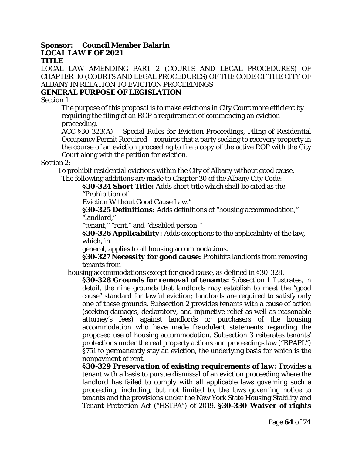#### **Sponsor: Council Member Balarin LOCAL LAW F OF 2021 TITLE**

LOCAL LAW AMENDING PART 2 (COURTS AND LEGAL PROCEDURES) OF CHAPTER 30 (COURTS AND LEGAL PROCEDURES) OF THE CODE OF THE CITY OF ALBANY IN RELATION TO EVICTION PROCEEDINGS

#### **GENERAL PURPOSE OF LEGISLATION**

Section 1:

The purpose of this proposal is to make evictions in City Court more efficient by requiring the filing of an ROP a requirement of commencing an eviction proceeding.

ACC §30-323(A) – Special Rules for Eviction Proceedings, Filing of Residential Occupancy Permit Required – requires that a party seeking to recovery property in the course of an eviction proceeding to file a copy of the active ROP with the City Court along with the petition for eviction.

Section 2:

To prohibit residential evictions within the City of Albany without good cause. The following additions are made to Chapter 30 of the Albany City Code:

*§30-324 Short Title:* Adds short title which shall be cited as the

"Prohibition of

Eviction Without Good Cause Law."

*§30-325 Definitions:* Adds definitions of "housing accommodation," "landlord,"

"tenant," "rent," and "disabled person."

*§30-326 Applicability:* Adds exceptions to the applicability of the law, which, in

general, applies to all housing accommodations.

*§30-327 Necessity for good cause:* Prohibits landlords from removing tenants from

housing accommodations except for good cause, as defined in §30-328.

*§30-328 Grounds for removal of tenants:* Subsection 1 illustrates, in detail, the nine grounds that landlords may establish to meet the "good cause" standard for lawful eviction; landlords are required to satisfy only one of these grounds. Subsection 2 provides tenants with a cause of action (seeking damages, declaratory, and injunctive relief as well as reasonable attorney's fees) against landlords or purchasers of the housing accommodation who have made fraudulent statements regarding the proposed use of housing accommodation. Subsection 3 reiterates tenants' protections under the real property actions and proceedings law ("RPAPL") §751 to permanently stay an eviction, the underlying basis for which is the nonpayment of rent.

*§30-329 Preservation of existing requirements of law:* Provides a tenant with a basis to pursue dismissal of an eviction proceeding where the landlord has failed to comply with all applicable laws governing such a proceeding, including, but not limited to, the laws governing notice to tenants and the provisions under the New York State Housing Stability and Tenant Protection Act ("HSTPA") of 2019. *§30-330 Waiver of rights*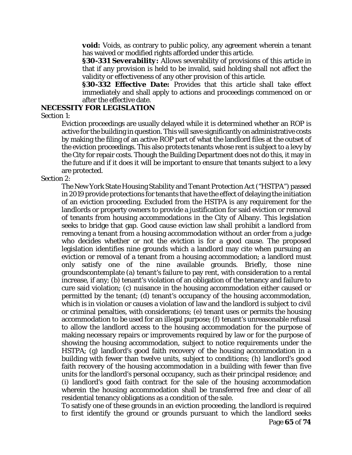*void:* Voids, as contrary to public policy, any agreement wherein a tenant has waived or modified rights afforded under this article.

*§30-331 Severability:* Allows severability of provisions of this article in that if any provision is held to be invalid, said holding shall not affect the validity or effectiveness of any other provision of this article.

*§30-332 Effective Date:* Provides that this article shall take effect immediately and shall apply to actions and proceedings commenced on or after the effective date.

#### **NECESSITY FOR LEGISLATION**

Section 1:

Eviction proceedings are usually delayed while it is determined whether an ROP is active for the building in question. This will save significantly on administrative costs by making the filing of an active ROP part of what the landlord files at the outset of the eviction proceedings. This also protects tenants whose rent is subject to a levy by the City for repair costs. Though the Building Department does not do this, it may in the future and if it does it will be important to ensure that tenants subject to a levy are protected.

#### Section 2:

The New York State Housing Stability and Tenant Protection Act ("HSTPA") passed in 2019 provide protections for tenants that have the effect of delaying the initiation of an eviction proceeding. Excluded from the HSTPA is any requirement for the landlords or property owners to provide a justification for said eviction or removal of tenants from housing accommodations in the City of Albany. This legislation seeks to bridge that gap. Good cause eviction law shall prohibit a landlord from removing a tenant from a housing accommodation without an order from a judge who decides whether or not the eviction is for a good cause. The proposed legislation identifies nine grounds which a landlord may cite when pursuing an eviction or removal of a tenant from a housing accommodation; a landlord must only satisfy one of the nine available grounds. Briefly, those nine groundscontemplate (a) tenant's failure to pay rent, with consideration to a rental increase, if any; (b) tenant's violation of an obligation of the tenancy and failure to cure said violation; (c) nuisance in the housing accommodation either caused or permitted by the tenant; (d) tenant's occupancy of the housing accommodation, which is in violation or causes a violation of law and the landlord is subject to civil or criminal penalties, with considerations; (e) tenant uses or permits the housing accommodation to be used for an illegal purpose; (f) tenant's unreasonable refusal to allow the landlord access to the housing accommodation for the purpose of making necessary repairs or improvements required by law or for the purpose of showing the housing accommodation, subject to notice requirements under the HSTPA; (g) landlord's good faith recovery of the housing accommodation in a building with fewer than twelve units, subject to conditions; (h) landlord's good faith recovery of the housing accommodation in a building with fewer than five units for the landlord's personal occupancy, such as their principal residence; and (i) landlord's good faith contract for the sale of the housing accommodation wherein the housing accommodation shall be transferred free and clear of all residential tenancy obligations as a condition of the sale.

To satisfy one of these grounds in an eviction proceeding, the landlord is required to first identify the ground or grounds pursuant to which the landlord seeks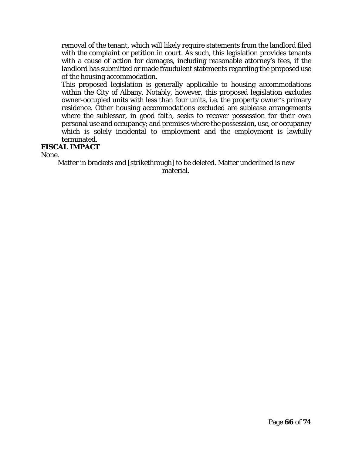removal of the tenant, which will likely require statements from the landlord filed with the complaint or petition in court. As such, this legislation provides tenants with a cause of action for damages, including reasonable attorney's fees, if the landlord has submitted or made fraudulent statements regarding the proposed use of the housing accommodation.

This proposed legislation is generally applicable to housing accommodations within the City of Albany. Notably, however, this proposed legislation excludes owner-occupied units with less than four units, i.e. the property owner's primary residence. Other housing accommodations excluded are sublease arrangements where the sublessor, in good faith, seeks to recover possession for their own personal use and occupancy; and premises where the possession, use, or occupancy which is solely incidental to employment and the employment is lawfully terminated.

#### **FISCAL IMPACT**

None.

Matter in brackets and [strikethrough] to be deleted. Matter underlined is new material.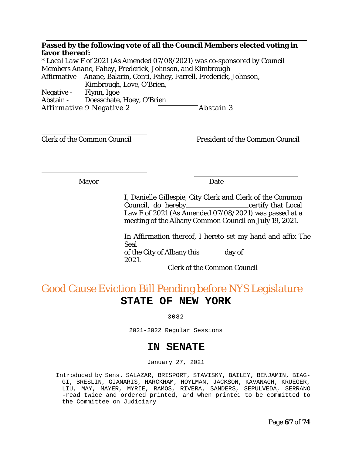**Passed by the following vote of all the Council Members elected voting in favor thereof:**

*\* Local Law F of 2021 (As Amended 07/08/2021) was co-sponsored by Council Members Anane, Fahey, Frederick, Johnson, and Kimbrough* Affirmative – Anane, Balarin, Conti, Fahey, Farrell, Frederick, Johnson, Kimbrough, Love, O'Brien, Negative - Flynn, Igoe Abstain - Doesschate, Hoey, O'Brien Affirmative 9 Negative 2 **Abstain 3** 

Clerk of the Common Council President of the Common Council

Mayor Date

I, Danielle Gillespie, City Clerk and Clerk of the Common Council, do hereby certify that Local Law F of 2021 (*As Amended 07/08/2021)* was passed at a meeting of the Albany Common Council on July 19, 2021.

In Affirmation thereof, I hereto set my hand and affix The Seal of the City of Albany this \_\_\_\_\_ day of \_\_\_\_\_\_\_\_\_\_\_ 2021.

Clerk of the Common Council

# Good Cause Eviction Bill Pending before NYS Legislature **STATE OF NEW YORK**

3082

2021-2022 Regular Sessions

### **IN SENATE**

January 27, 2021

Introduced by Sens. SALAZAR, BRISPORT, STAVISKY, BAILEY, BENJAMIN, BIAG-GI, BRESLIN, GIANARIS, HARCKHAM, HOYLMAN, JACKSON, KAVANAGH, KRUEGER, LIU, MAY, MAYER, MYRIE, RAMOS, RIVERA, SANDERS, SEPULVEDA, SERRANO -read twice and ordered printed, and when printed to be committed to the Committee on Judiciary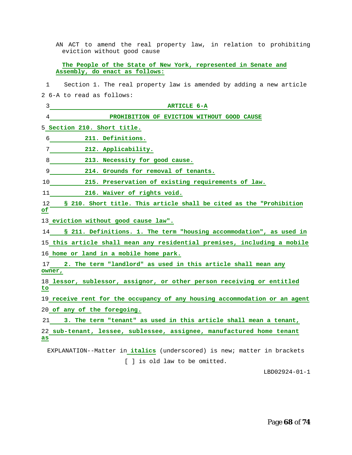AN ACT to amend the real property law, in relation to prohibiting eviction without good cause

**The People of the State of New York, represented in Senate and Assembly, do enact as follows:** 

1 Section 1. The real property law is amended by adding a new article

2 6-A to read as follows:

3 **ARTICLE 6-A** 

4 **PROHIBITION OF EVICTION WITHOUT GOOD CAUSE** 

5 **Section 210. Short title.** 

6 **211. Definitions.** 

7 **212. Applicability.** 

8 **213. Necessity for good cause.** 

9 **214. Grounds for removal of tenants.** 

10 **215. Preservation of existing requirements of law.** 

11 **216. Waiver of rights void.** 

12 **§ 210. Short title. This article shall be cited as the "Prohibition of**

13 **eviction without good cause law".** 

14 **§ 211. Definitions. 1. The term "housing accommodation", as used in**

15 **this article shall mean any residential premises, including a mobile**

16 **home or land in a mobile home park.** 

17 **2. The term "landlord" as used in this article shall mean any owner,** 

18 **lessor, sublessor, assignor, or other person receiving or entitled to**

19 **receive rent for the occupancy of any housing accommodation or an agent** 20 **of any of the foregoing.** 

21 **3. The term "tenant" as used in this article shall mean a tenant,** 

22 **sub-tenant, lessee, sublessee, assignee, manufactured home tenant as**

EXPLANATION--Matter in **italics** (underscored) is new; matter in brackets [ ] is old law to be omitted.

LBD02924-01-1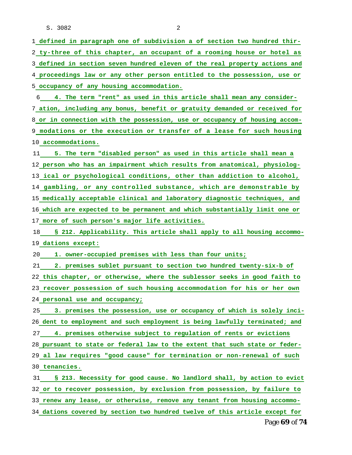S. 3082 2

 **defined in paragraph one of subdivision a of section two hundred thir- ty-three of this chapter, an occupant of a rooming house or hotel as defined in section seven hundred eleven of the real property actions and proceedings law or any other person entitled to the possession, use or occupancy of any housing accommodation.** 

 **4. The term "rent" as used in this article shall mean any consider- ation, including any bonus, benefit or gratuity demanded or received for or in connection with the possession, use or occupancy of housing accom- modations or the execution or transfer of a lease for such housing accommodations.** 

 **5. The term "disabled person" as used in this article shall mean a person who has an impairment which results from anatomical, physiolog- ical or psychological conditions, other than addiction to alcohol, gambling, or any controlled substance, which are demonstrable by medically acceptable clinical and laboratory diagnostic techniques, and which are expected to be permanent and which substantially limit one or more of such person's major life activities.** 

 **§ 212. Applicability. This article shall apply to all housing accommo-dations except:** 

**1. owner-occupied premises with less than four units;** 

 **2. premises sublet pursuant to section two hundred twenty-six-b of this chapter, or otherwise, where the sublessor seeks in good faith to recover possession of such housing accommodation for his or her own personal use and occupancy;** 

 **3. premises the possession, use or occupancy of which is solely inci- dent to employment and such employment is being lawfully terminated; and 4. premises otherwise subject to regulation of rents or evictions pursuant to state or federal law to the extent that such state or feder- al law requires "good cause" for termination or non-renewal of such tenancies.** 

 **§ 213. Necessity for good cause. No landlord shall, by action to evict or to recover possession, by exclusion from possession, by failure to renew any lease, or otherwise, remove any tenant from housing accommo-dations covered by section two hundred twelve of this article except for**

Page **69** of **74**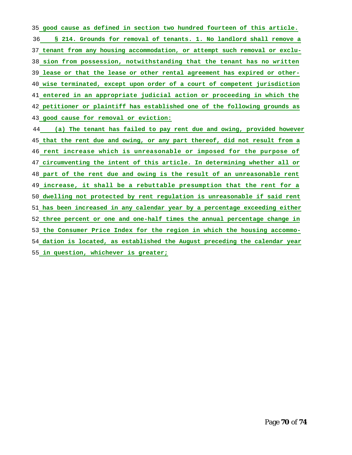**good cause as defined in section two hundred fourteen of this article. § 214. Grounds for removal of tenants. 1. No landlord shall remove a tenant from any housing accommodation, or attempt such removal or exclu- sion from possession, notwithstanding that the tenant has no written lease or that the lease or other rental agreement has expired or other- wise terminated, except upon order of a court of competent jurisdiction entered in an appropriate judicial action or proceeding in which the petitioner or plaintiff has established one of the following grounds as good cause for removal or eviction: (a) The tenant has failed to pay rent due and owing, provided however that the rent due and owing, or any part thereof, did not result from a rent increase which is unreasonable or imposed for the purpose of circumventing the intent of this article. In determining whether all or part of the rent due and owing is the result of an unreasonable rent increase, it shall be a rebuttable presumption that the rent for a dwelling not protected by rent regulation is unreasonable if said rent has been increased in any calendar year by a percentage exceeding either three percent or one and one-half times the annual percentage change in the Consumer Price Index for the region in which the housing accommo-**

 **dation is located, as established the August preceding the calendar year in question, whichever is greater;**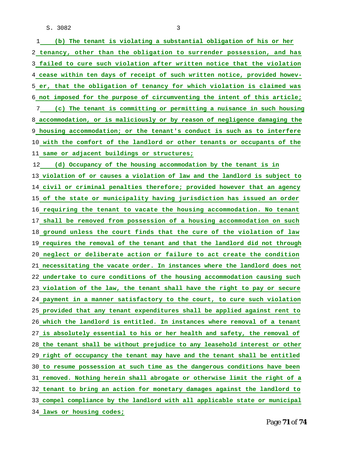S. 3082 3

| (b) The tenant is violating a substantial obligation of his or her<br>$\mathbf{1}$ |
|------------------------------------------------------------------------------------|
| 2 tenancy, other than the obligation to surrender possession, and has              |
| 3 failed to cure such violation after written notice that the violation            |
| 4 cease within ten days of receipt of such written notice, provided howev-         |
| 5 er, that the obligation of tenancy for which violation is claimed was            |
| 6 not imposed for the purpose of circumventing the intent of this article;         |
| 7 (c) The tenant is committing or permitting a nuisance in such housing            |
| 8 accommodation, or is maliciously or by reason of negligence damaging the         |
| 9 housing accommodation; or the tenant's conduct is such as to interfere           |
| 10 with the comfort of the landlord or other tenants or occupants of the           |
| 11 same or adjacent buildings or structures;                                       |
| 12 (d) Occupancy of the housing accommodation by the tenant is in                  |
| 13 violation of or causes a violation of law and the landlord is subject to        |
| 14 civil or criminal penalties therefore; provided however that an agency          |
| 15 of the state or municipality having jurisdiction has issued an order            |
| 16 requiring the tenant to vacate the housing accommodation. No tenant             |
| 17 shall be removed from possession of a housing accommodation on such             |
| 18 ground unless the court finds that the cure of the violation of law             |
| 19 requires the removal of the tenant and that the landlord did not through        |
| 20 neglect or deliberate action or failure to act create the condition             |
| 21 necessitating the vacate order. In instances where the landlord does not        |
| 22 undertake to cure conditions of the housing accommodation causing such          |
| 23 violation of the law, the tenant shall have the right to pay or secure          |
| 24 payment in a manner satisfactory to the court, to cure such violation           |
| 25 provided that any tenant expenditures shall be applied against rent to          |
| 26 which the landlord is entitled. In instances where removal of a tenant          |
| 27 is absolutely essential to his or her health and safety, the removal of         |
| 28 the tenant shall be without prejudice to any leasehold interest or other        |
| 29 right of occupancy the tenant may have and the tenant shall be entitled         |
| 30 to resume possession at such time as the dangerous conditions have been         |
| 31 removed. Nothing herein shall abrogate or otherwise limit the right of a        |
| 32 tenant to bring an action for monetary damages against the landlord to          |
| 33 compel compliance by the landlord with all applicable state or municipal        |
| 34 laws or housing codes;                                                          |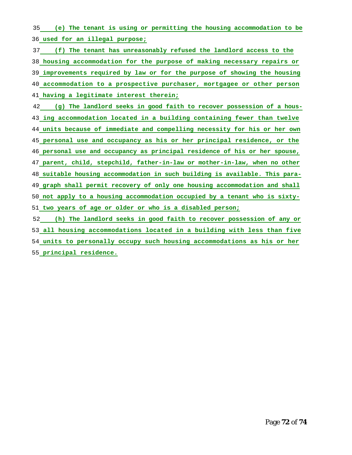**(e) The tenant is using or permitting the housing accommodation to be used for an illegal purpose;** 

 **(f) The tenant has unreasonably refused the landlord access to the housing accommodation for the purpose of making necessary repairs or improvements required by law or for the purpose of showing the housing accommodation to a prospective purchaser, mortgagee or other person having a legitimate interest therein;** 

 **(g) The landlord seeks in good faith to recover possession of a hous- ing accommodation located in a building containing fewer than twelve units because of immediate and compelling necessity for his or her own personal use and occupancy as his or her principal residence, or the personal use and occupancy as principal residence of his or her spouse, parent, child, stepchild, father-in-law or mother-in-law, when no other suitable housing accommodation in such building is available. This para- graph shall permit recovery of only one housing accommodation and shall not apply to a housing accommodation occupied by a tenant who is sixty-two years of age or older or who is a disabled person;** 

 **(h) The landlord seeks in good faith to recover possession of any or all housing accommodations located in a building with less than five units to personally occupy such housing accommodations as his or her principal residence.**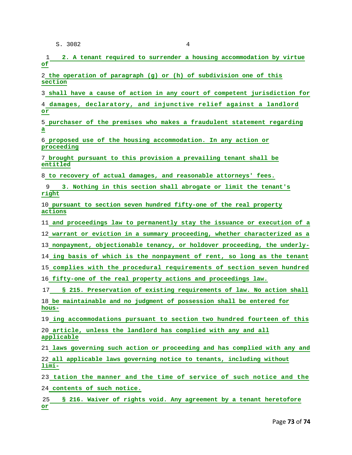S. 3082 4

 **2. A tenant required to surrender a housing accommodation by virtue of**

 **the operation of paragraph (g) or (h) of subdivision one of this section**

**shall have a cause of action in any court of competent jurisdiction for**

 **damages, declaratory, and injunctive relief against a landlord or**

 **purchaser of the premises who makes a fraudulent statement regarding a** 

 **proposed use of the housing accommodation. In any action or proceeding**

 **brought pursuant to this provision a prevailing tenant shall be entitled**

**to recovery of actual damages, and reasonable attorneys' fees.** 

 **3. Nothing in this section shall abrogate or limit the tenant's right**

 **pursuant to section seven hundred fifty-one of the real property actions** 

**and proceedings law to permanently stay the issuance or execution of a**

**warrant or eviction in a summary proceeding, whether characterized as a**

**nonpayment, objectionable tenancy, or holdover proceeding, the underly-**

**ing basis of which is the nonpayment of rent, so long as the tenant**

**complies with the procedural requirements of section seven hundred**

**fifty-one of the real property actions and proceedings law.** 

 **§ 215. Preservation of existing requirements of law. No action shall be maintainable and no judgment of possession shall be entered for hous-**

**ing accommodations pursuant to section two hundred fourteen of this** 

 **article, unless the landlord has complied with any and all applicable**

**laws governing such action or proceeding and has complied with any and**

 **all applicable laws governing notice to tenants, including without limi-**

**tation the manner and the time of service of such notice and the**

**contents of such notice.** 

 **§ 216. Waiver of rights void. Any agreement by a tenant heretofore or**